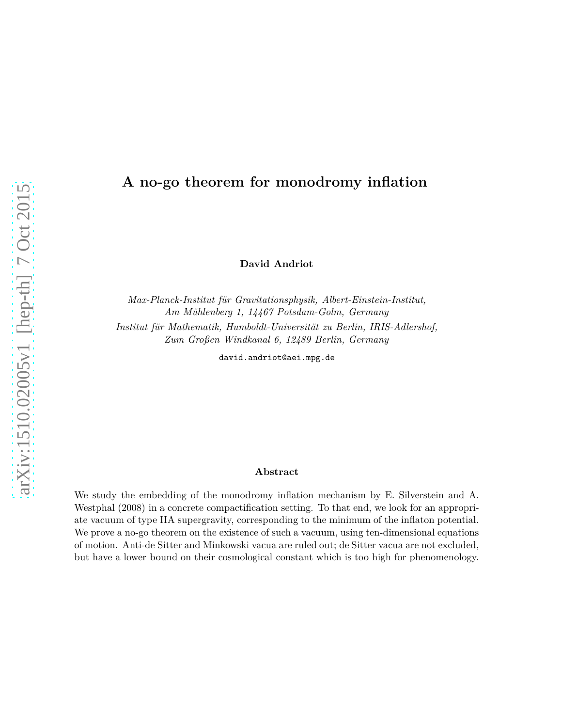# **A no-go theorem for monodromy inflation**

**David Andriot**

*Max-Planck-Institut für Gravitationsphysik, Albert-Einstein-Institut, Am Mühlenberg 1, 14467 Potsdam-Golm, Germany Institut für Mathematik, Humboldt-Universität zu Berlin, IRIS-Adlershof, Zum Großen Windkanal 6, 12489 Berlin, Germany*

david.andriot@aei.mpg.de

### **Abstract**

We study the embedding of the monodromy inflation mechanism by E. Silverstein and A. Westphal (2008) in a concrete compactification setting. To that end, we look for an appropriate vacuum of type IIA supergravity, corresponding to the minimum of the inflaton potential. We prove a no-go theorem on the existence of such a vacuum, using ten-dimensional equations of motion. Anti-de Sitter and Minkowski vacua are ruled out; de Sitter vacua are not excluded, but have a lower bound on their cosmological constant which is too high for phenomenology.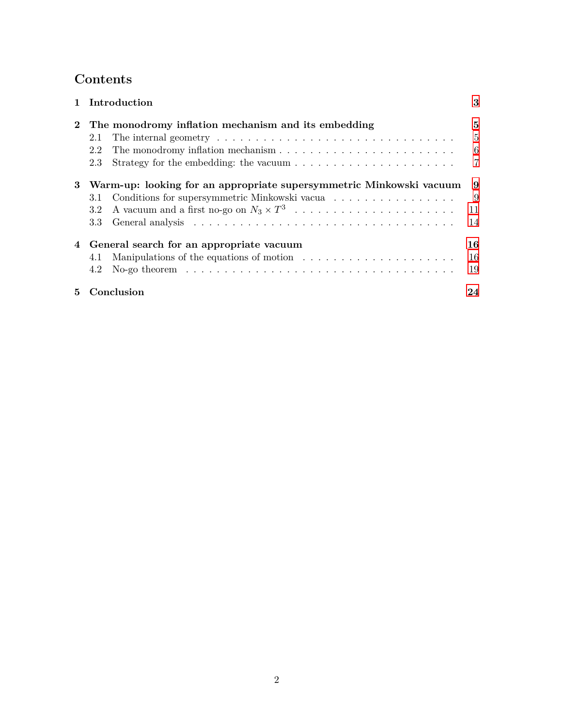# **Contents**

|             | 1 Introduction                                                                                             | 3              |
|-------------|------------------------------------------------------------------------------------------------------------|----------------|
| $2^{\circ}$ | The monodromy inflation mechanism and its embedding                                                        | 5              |
|             | 2.1                                                                                                        | $\overline{5}$ |
|             | The monodromy inflation mechanism $\dots \dots \dots \dots \dots \dots \dots \dots \dots$<br>2.2           | - 6            |
|             | Strategy for the embedding: the vacuum $\dots \dots \dots \dots \dots \dots \dots \dots$<br>2.3            | $\overline{7}$ |
| 3           | Warm-up: looking for an appropriate supersymmetric Minkowski vacuum                                        | 9              |
|             | Conditions for supersymmetric Minkowski vacua<br>3.1                                                       | - 9            |
|             | $3.2\phantom{0}$                                                                                           | 11             |
|             | 3.3                                                                                                        | 14             |
|             | 4 General search for an appropriate vacuum                                                                 | 16             |
|             | 4.1                                                                                                        | 16             |
|             | No-go theorem $\ldots \ldots \ldots \ldots \ldots \ldots \ldots \ldots \ldots \ldots \ldots \ldots$<br>4.2 | 19             |
| $5 -$       | Conclusion                                                                                                 | 24             |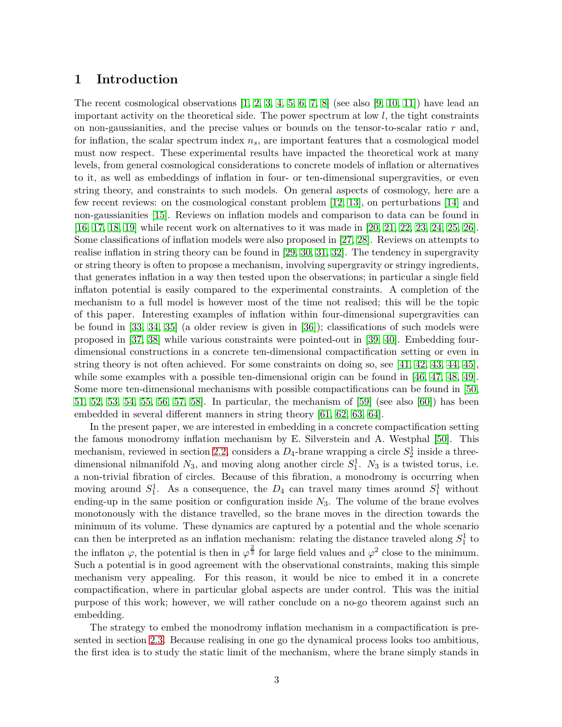### <span id="page-2-0"></span>**1 Introduction**

The recent cosmological observations  $[1, 2, 3, 4, 5, 6, 7, 8]$  $[1, 2, 3, 4, 5, 6, 7, 8]$  $[1, 2, 3, 4, 5, 6, 7, 8]$  $[1, 2, 3, 4, 5, 6, 7, 8]$  $[1, 2, 3, 4, 5, 6, 7, 8]$  $[1, 2, 3, 4, 5, 6, 7, 8]$  $[1, 2, 3, 4, 5, 6, 7, 8]$  $[1, 2, 3, 4, 5, 6, 7, 8]$  (see also  $[9, 10, 11]$  $[9, 10, 11]$  $[9, 10, 11]$ ) have lead an important activity on the theoretical side. The power spectrum at low *l*, the tight constraints on non-gaussianities, and the precise values or bounds on the tensor-to-scalar ratio *r* and, for inflation, the scalar spectrum index *ns*, are important features that a cosmological model must now respect. These experimental results have impacted the theoretical work at many levels, from general cosmological considerations to concrete models of inflation or alternatives to it, as well as embeddings of inflation in four- or ten-dimensional supergravities, or even string theory, and constraints to such models. On general aspects of cosmology, here are a few recent reviews: on the cosmological constant problem [\[12,](#page-26-11) [13\]](#page-26-12), on perturbations [\[14\]](#page-26-13) and non-gaussianities [\[15\]](#page-26-14). Reviews on inflation models and comparison to data can be found in [\[16,](#page-26-15) [17,](#page-27-0) [18,](#page-27-1) [19\]](#page-27-2) while recent work on alternatives to it was made in [\[20,](#page-27-3) [21,](#page-27-4) [22,](#page-27-5) [23,](#page-27-6) [24,](#page-27-7) [25,](#page-27-8) [26\]](#page-27-9). Some classifications of inflation models were also proposed in [\[27,](#page-27-10) [28\]](#page-27-11). Reviews on attempts to realise inflation in string theory can be found in [\[29,](#page-27-12) [30,](#page-27-13) [31,](#page-27-14) [32\]](#page-27-15). The tendency in supergravity or string theory is often to propose a mechanism, involving supergravity or stringy ingredients, that generates inflation in a way then tested upon the observations; in particular a single field inflaton potential is easily compared to the experimental constraints. A completion of the mechanism to a full model is however most of the time not realised; this will be the topic of this paper. Interesting examples of inflation within four-dimensional supergravities can be found in [\[33,](#page-27-16) [34,](#page-28-0) [35\]](#page-28-1) (a older review is given in [\[36\]](#page-28-2)); classifications of such models were proposed in [\[37,](#page-28-3) [38\]](#page-28-4) while various constraints were pointed-out in [\[39,](#page-28-5) [40\]](#page-28-6). Embedding fourdimensional constructions in a concrete ten-dimensional compactification setting or even in string theory is not often achieved. For some constraints on doing so, see [\[41,](#page-28-7) [42,](#page-28-8) [43,](#page-28-9) [44,](#page-28-10) [45\]](#page-28-11), while some examples with a possible ten-dimensional origin can be found in [\[46,](#page-28-12) [47,](#page-28-13) [48,](#page-28-14) [49\]](#page-28-15). Some more ten-dimensional mechanisms with possible compactifications can be found in [\[50,](#page-29-0) [51,](#page-29-1) [52,](#page-29-2) [53,](#page-29-3) [54,](#page-29-4) [55,](#page-29-5) [56,](#page-29-6) [57,](#page-29-7) [58\]](#page-29-8). In particular, the mechanism of [\[59\]](#page-29-9) (see also [\[60\]](#page-29-10)) has been embedded in several different manners in string theory [\[61,](#page-29-11) [62,](#page-29-12) [63,](#page-29-13) [64\]](#page-29-14).

In the present paper, we are interested in embedding in a concrete compactification setting the famous monodromy inflation mechanism by E. Silverstein and A. Westphal [\[50\]](#page-29-0). This mechanism, reviewed in section [2.2,](#page-5-0) considers a  $D_4$ -brane wrapping a circle  $S_2^{\overline{1}}$  inside a threedimensional nilmanifold  $N_3$ , and moving along another circle  $S_1^1$ .  $N_3$  is a twisted torus, i.e. a non-trivial fibration of circles. Because of this fibration, a monodromy is occurring when moving around  $S_1^1$ . As a consequence, the  $D_4$  can travel many times around  $S_1^1$  without ending-up in the same position or configuration inside  $N_3$ . The volume of the brane evolves monotonously with the distance travelled, so the brane moves in the direction towards the minimum of its volume. These dynamics are captured by a potential and the whole scenario can then be interpreted as an inflation mechanism: relating the distance traveled along  $S_1^1$  to the inflaton  $\varphi$ , the potential is then in  $\varphi^{\frac{2}{3}}$  for large field values and  $\varphi^2$  close to the minimum. Such a potential is in good agreement with the observational constraints, making this simple mechanism very appealing. For this reason, it would be nice to embed it in a concrete compactification, where in particular global aspects are under control. This was the initial purpose of this work; however, we will rather conclude on a no-go theorem against such an embedding.

The strategy to embed the monodromy inflation mechanism in a compactification is presented in section [2.3.](#page-6-0) Because realising in one go the dynamical process looks too ambitious, the first idea is to study the static limit of the mechanism, where the brane simply stands in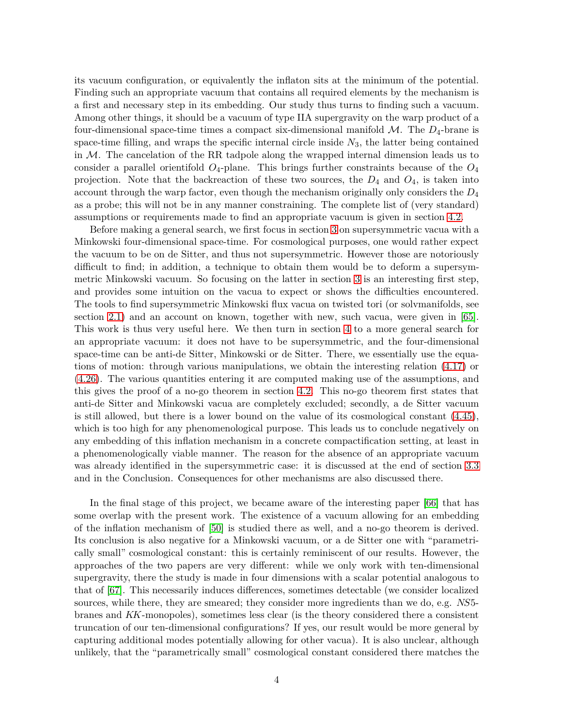its vacuum configuration, or equivalently the inflaton sits at the minimum of the potential. Finding such an appropriate vacuum that contains all required elements by the mechanism is a first and necessary step in its embedding. Our study thus turns to finding such a vacuum. Among other things, it should be a vacuum of type IIA supergravity on the warp product of a four-dimensional space-time times a compact six-dimensional manifold  $M$ . The  $D_4$ -brane is space-time filling, and wraps the specific internal circle inside *N*3, the latter being contained in M. The cancelation of the RR tadpole along the wrapped internal dimension leads us to consider a parallel orientifold  $O_4$ -plane. This brings further constraints because of the  $O_4$ projection. Note that the backreaction of these two sources, the *D*4 and *O*4, is taken into account through the warp factor, even though the mechanism originally only considers the *D*4 as a probe; this will not be in any manner constraining. The complete list of (very standard) assumptions or requirements made to find an appropriate vacuum is given in section [4.2.](#page-18-0)

Before making a general search, we first focus in section [3](#page-8-0) on supersymmetric vacua with a Minkowski four-dimensional space-time. For cosmological purposes, one would rather expect the vacuum to be on de Sitter, and thus not supersymmetric. However those are notoriously difficult to find; in addition, a technique to obtain them would be to deform a supersymmetric Minkowski vacuum. So focusing on the latter in section [3](#page-8-0) is an interesting first step, and provides some intuition on the vacua to expect or shows the difficulties encountered. The tools to find supersymmetric Minkowski flux vacua on twisted tori (or solvmanifolds, see section [2.1\)](#page-4-1) and an account on known, together with new, such vacua, were given in [\[65\]](#page-29-15). This work is thus very useful here. We then turn in section [4](#page-15-0) to a more general search for an appropriate vacuum: it does not have to be supersymmetric, and the four-dimensional space-time can be anti-de Sitter, Minkowski or de Sitter. There, we essentially use the equations of motion: through various manipulations, we obtain the interesting relation [\(4.17\)](#page-17-0) or [\(4.26\)](#page-20-0). The various quantities entering it are computed making use of the assumptions, and this gives the proof of a no-go theorem in section [4.2.](#page-18-0) This no-go theorem first states that anti-de Sitter and Minkowski vacua are completely excluded; secondly, a de Sitter vacuum is still allowed, but there is a lower bound on the value of its cosmological constant [\(4.45\)](#page-22-0), which is too high for any phenomenological purpose. This leads us to conclude negatively on any embedding of this inflation mechanism in a concrete compactification setting, at least in a phenomenologically viable manner. The reason for the absence of an appropriate vacuum was already identified in the supersymmetric case: it is discussed at the end of section [3.3](#page-13-0) and in the Conclusion. Consequences for other mechanisms are also discussed there.

In the final stage of this project, we became aware of the interesting paper [\[66\]](#page-29-16) that has some overlap with the present work. The existence of a vacuum allowing for an embedding of the inflation mechanism of [\[50\]](#page-29-0) is studied there as well, and a no-go theorem is derived. Its conclusion is also negative for a Minkowski vacuum, or a de Sitter one with "parametrically small" cosmological constant: this is certainly reminiscent of our results. However, the approaches of the two papers are very different: while we only work with ten-dimensional supergravity, there the study is made in four dimensions with a scalar potential analogous to that of [\[67\]](#page-29-17). This necessarily induces differences, sometimes detectable (we consider localized sources, while there, they are smeared; they consider more ingredients than we do, e.g. *NS*5 branes and *KK*-monopoles), sometimes less clear (is the theory considered there a consistent truncation of our ten-dimensional configurations? If yes, our result would be more general by capturing additional modes potentially allowing for other vacua). It is also unclear, although unlikely, that the "parametrically small" cosmological constant considered there matches the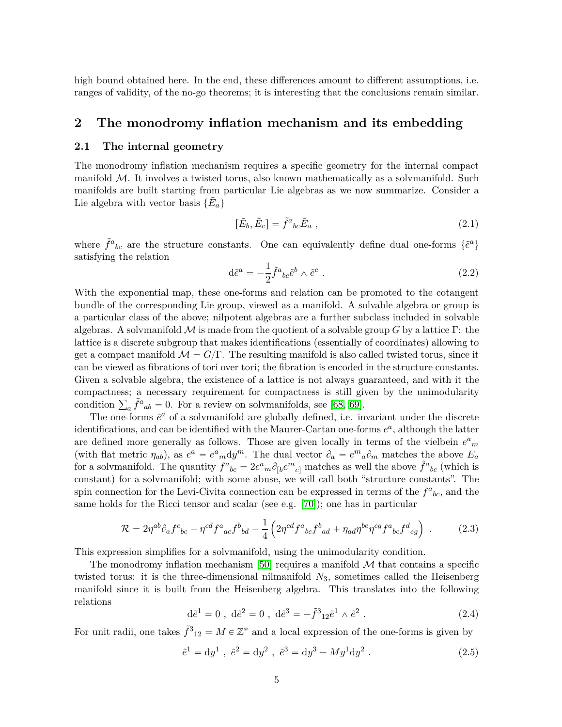high bound obtained here. In the end, these differences amount to different assumptions, i.e. ranges of validity, of the no-go theorems; it is interesting that the conclusions remain similar.

### <span id="page-4-1"></span><span id="page-4-0"></span>**2 The monodromy inflation mechanism and its embedding**

### **2.1 The internal geometry**

The monodromy inflation mechanism requires a specific geometry for the internal compact manifold M. It involves a twisted torus, also known mathematically as a solvmanifold. Such manifolds are built starting from particular Lie algebras as we now summarize. Consider a Lie algebra with vector basis  $\{\tilde{E}_a\}$ 

$$
[\tilde{E}_b, \tilde{E}_c] = \tilde{f}^a{}_{bc} \tilde{E}_a \tag{2.1}
$$

where  $\tilde{f}^a{}_{bc}$  are the structure constants. One can equivalently define dual one-forms  $\{\tilde{e}^a\}$ satisfying the relation

$$
d\tilde{e}^a = -\frac{1}{2}\tilde{f}^a{}_{bc}\tilde{e}^b \wedge \tilde{e}^c . \qquad (2.2)
$$

With the exponential map, these one-forms and relation can be promoted to the cotangent bundle of the corresponding Lie group, viewed as a manifold. A solvable algebra or group is a particular class of the above; nilpotent algebras are a further subclass included in solvable algebras. A solvmanifold  $\mathcal M$  is made from the quotient of a solvable group *G* by a lattice  $\Gamma$ : the lattice is a discrete subgroup that makes identifications (essentially of coordinates) allowing to get a compact manifold  $\mathcal{M} = G/\Gamma$ . The resulting manifold is also called twisted torus, since it can be viewed as fibrations of tori over tori; the fibration is encoded in the structure constants. Given a solvable algebra, the existence of a lattice is not always guaranteed, and with it the compactness; a necessary requirement for compactness is still given by the unimodularity condition  $\sum_a \tilde{f}^a{}_{ab} = 0$ . For a review on solvmanifolds, see [\[68,](#page-30-0) [69\]](#page-30-1).

The one-forms  $\tilde{e}^a$  of a solvmanifold are globally defined, i.e. invariant under the discrete identifications, and can be identified with the Maurer-Cartan one-forms  $e^a$ , although the latter are defined more generally as follows. Those are given locally in terms of the vielbein  $e^a{}_m$ (with flat metric  $\eta_{ab}$ ), as  $e^a = e^a{}_m dy^m$ . The dual vector  $\partial_a = e^m{}_a \partial_m$  matches the above  $E_a$ for a solvmanifold. The quantity  $f^a{}_{bc} = 2e^a{}_m\partial_{[b}e^m{}_{c]}$  matches as well the above  $\tilde{f}^a{}_{bc}$  (which is constant) for a solvmanifold; with some abuse, we will call both "structure constants". The spin connection for the Levi-Civita connection can be expressed in terms of the  $f^a{}_{bc}$ , and the same holds for the Ricci tensor and scalar (see e.g. [\[70\]](#page-30-2)); one has in particular

<span id="page-4-2"></span>
$$
\mathcal{R} = 2\eta^{ab}\partial_a f^c{}_{bc} - \eta^{cd} f^a{}_{ac} f^b{}_{bd} - \frac{1}{4} \left( 2\eta^{cd} f^a{}_{bc} f^b{}_{ad} + \eta_{ad} \eta^{be} \eta^{cg} f^a{}_{bc} f^d{}_{eg} \right) \ . \tag{2.3}
$$

This expression simplifies for a solvmanifold, using the unimodularity condition.

The monodromy inflation mechanism [\[50\]](#page-29-0) requires a manifold  $M$  that contains a specific twisted torus: it is the three-dimensional nilmanifold  $N_3$ , sometimes called the Heisenberg manifold since it is built from the Heisenberg algebra. This translates into the following relations

$$
d\tilde{e}^1 = 0
$$
,  $d\tilde{e}^2 = 0$ ,  $d\tilde{e}^3 = -\tilde{f}^3{}_{12}\tilde{e}^1 \wedge \tilde{e}^2$ . (2.4)

For unit radii, one takes  $\tilde{f}^3_{12} = M \in \mathbb{Z}^*$  and a local expression of the one-forms is given by

$$
\tilde{e}^1 = dy^1
$$
,  $\tilde{e}^2 = dy^2$ ,  $\tilde{e}^3 = dy^3 - My^1 dy^2$ . (2.5)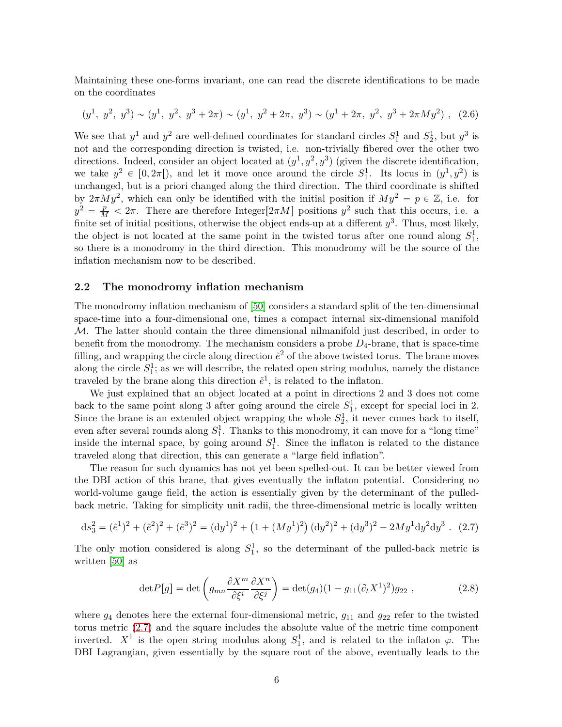Maintaining these one-forms invariant, one can read the discrete identifications to be made on the coordinates

$$
(y1, y2, y3) \sim (y1, y2, y3 + 2\pi) \sim (y1, y2 + 2\pi, y3) \sim (y1 + 2\pi, y2, y3 + 2\pi M y2) , (2.6)
$$

We see that  $y^1$  and  $y^2$  are well-defined coordinates for standard circles  $S_1^1$  and  $S_2^1$ , but  $y^3$  is not and the corresponding direction is twisted, i.e. non-trivially fibered over the other two directions. Indeed, consider an object located at  $(y^1, y^2, y^3)$  (given the discrete identification, we take  $y^2 \in [0, 2\pi]$ , and let it move once around the circle  $S_1^1$ . Its locus in  $(y^1, y^2)$  is unchanged, but is a priori changed along the third direction. The third coordinate is shifted by  $2\pi \tilde{M}y^2$ , which can only be identified with the initial position if  $My^2 = p \in \mathbb{Z}$ , i.e. for  $y^2 = \frac{p}{M} < 2\pi$ . There are therefore Integer [2*πM*] positions  $y^2$  such that this occurs, i.e. a finite set of initial positions, otherwise the object ends-up at a different  $y^3$ . Thus, most likely, the object is not located at the same point in the twisted torus after one round along  $S_1^1$ , so there is a monodromy in the third direction. This monodromy will be the source of the inflation mechanism now to be described.

### <span id="page-5-0"></span>**2.2 The monodromy inflation mechanism**

The monodromy inflation mechanism of [\[50\]](#page-29-0) considers a standard split of the ten-dimensional space-time into a four-dimensional one, times a compact internal six-dimensional manifold M. The latter should contain the three dimensional nilmanifold just described, in order to benefit from the monodromy. The mechanism considers a probe  $D_4$ -brane, that is space-time filling, and wrapping the circle along direction  $\tilde{e}^2$  of the above twisted torus. The brane moves along the circle  $S_1^1$ ; as we will describe, the related open string modulus, namely the distance traveled by the brane along this direction  $\tilde{e}^1$ , is related to the inflaton.

We just explained that an object located at a point in directions 2 and 3 does not come back to the same point along 3 after going around the circle  $S_1^1$ , except for special loci in 2. Since the brane is an extended object wrapping the whole  $S_2^1$ , it never comes back to itself, even after several rounds along  $S_1^1$ . Thanks to this monodromy, it can move for a "long time" inside the internal space, by going around  $S_1^1$ . Since the inflaton is related to the distance traveled along that direction, this can generate a "large field inflation".

The reason for such dynamics has not yet been spelled-out. It can be better viewed from the DBI action of this brane, that gives eventually the inflaton potential. Considering no world-volume gauge field, the action is essentially given by the determinant of the pulledback metric. Taking for simplicity unit radii, the three-dimensional metric is locally written

<span id="page-5-1"></span>
$$
ds_3^2 = (\tilde{e}^1)^2 + (\tilde{e}^2)^2 + (\tilde{e}^3)^2 = (dy^1)^2 + (1 + (My^1)^2)(dy^2)^2 + (dy^3)^2 - 2My^1 dy^2 dy^3.
$$
 (2.7)

The only motion considered is along  $S_1^1$ , so the determinant of the pulled-back metric is written [\[50\]](#page-29-0) as

<span id="page-5-2"></span>
$$
\det P[g] = \det \left( g_{mn} \frac{\partial X^m}{\partial \xi^i} \frac{\partial X^n}{\partial \xi^j} \right) = \det(g_4)(1 - g_{11}(\partial_t X^1)^2) g_{22} , \qquad (2.8)
$$

where  $g_4$  denotes here the external four-dimensional metric,  $g_{11}$  and  $g_{22}$  refer to the twisted torus metric [\(2.7\)](#page-5-1) and the square includes the absolute value of the metric time component inverted.  $X^1$  is the open string modulus along  $S_1^1$ , and is related to the inflaton  $\varphi$ . The DBI Lagrangian, given essentially by the square root of the above, eventually leads to the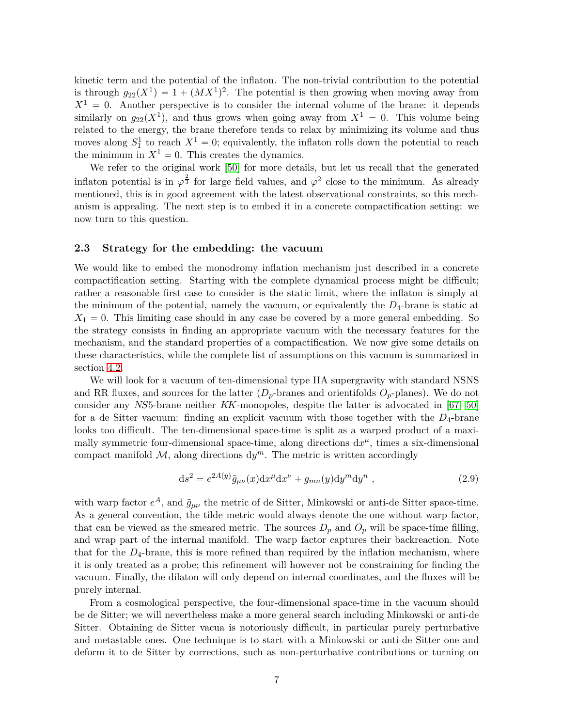kinetic term and the potential of the inflaton. The non-trivial contribution to the potential is through  $g_{22}(X^1) = 1 + (MX^1)^2$ . The potential is then growing when moving away from  $X^1 = 0$ . Another perspective is to consider the internal volume of the brane: it depends similarly on  $g_{22}(X^{\hat{1}})$ , and thus grows when going away from  $X^{\hat{1}} = 0$ . This volume being related to the energy, the brane therefore tends to relax by minimizing its volume and thus moves along  $S_1^1$  to reach  $X^1 = 0$ ; equivalently, the inflaton rolls down the potential to reach the minimum in  $X^1 = 0$ . This creates the dynamics.

We refer to the original work [\[50\]](#page-29-0) for more details, but let us recall that the generated inflaton potential is in  $\varphi^{\frac{2}{3}}$  for large field values, and  $\varphi^2$  close to the minimum. As already mentioned, this is in good agreement with the latest observational constraints, so this mechanism is appealing. The next step is to embed it in a concrete compactification setting: we now turn to this question.

### <span id="page-6-0"></span>**2.3 Strategy for the embedding: the vacuum**

We would like to embed the monodromy inflation mechanism just described in a concrete compactification setting. Starting with the complete dynamical process might be difficult; rather a reasonable first case to consider is the static limit, where the inflaton is simply at the minimum of the potential, namely the vacuum, or equivalently the *D*4-brane is static at  $X_1 = 0$ . This limiting case should in any case be covered by a more general embedding. So the strategy consists in finding an appropriate vacuum with the necessary features for the mechanism, and the standard properties of a compactification. We now give some details on these characteristics, while the complete list of assumptions on this vacuum is summarized in section [4.2.](#page-18-0)

We will look for a vacuum of ten-dimensional type IIA supergravity with standard NSNS and RR fluxes, and sources for the latter  $(D_p$ -branes and orientifolds  $O_p$ -planes). We do not consider any *NS*5-brane neither *KK*-monopoles, despite the latter is advocated in [\[67,](#page-29-17) [50\]](#page-29-0) for a de Sitter vacuum: finding an explicit vacuum with those together with the *D*4-brane looks too difficult. The ten-dimensional space-time is split as a warped product of a maximally symmetric four-dimensional space-time, along directions  $dx^{\mu}$ , times a six-dimensional compact manifold  $M$ , along directions  $dy^m$ . The metric is written accordingly

<span id="page-6-1"></span>
$$
ds2 = e2A(y) \tilde{g}_{\mu\nu}(x) dx\mu dx\nu + g_{mn}(y) dym dyn,
$$
\n(2.9)

with warp factor  $e^A$ , and  $\tilde{g}_{\mu\nu}$  the metric of de Sitter, Minkowski or anti-de Sitter space-time. As a general convention, the tilde metric would always denote the one without warp factor, that can be viewed as the smeared metric. The sources  $D_p$  and  $O_p$  will be space-time filling, and wrap part of the internal manifold. The warp factor captures their backreaction. Note that for the  $D_4$ -brane, this is more refined than required by the inflation mechanism, where it is only treated as a probe; this refinement will however not be constraining for finding the vacuum. Finally, the dilaton will only depend on internal coordinates, and the fluxes will be purely internal.

From a cosmological perspective, the four-dimensional space-time in the vacuum should be de Sitter; we will nevertheless make a more general search including Minkowski or anti-de Sitter. Obtaining de Sitter vacua is notoriously difficult, in particular purely perturbative and metastable ones. One technique is to start with a Minkowski or anti-de Sitter one and deform it to de Sitter by corrections, such as non-perturbative contributions or turning on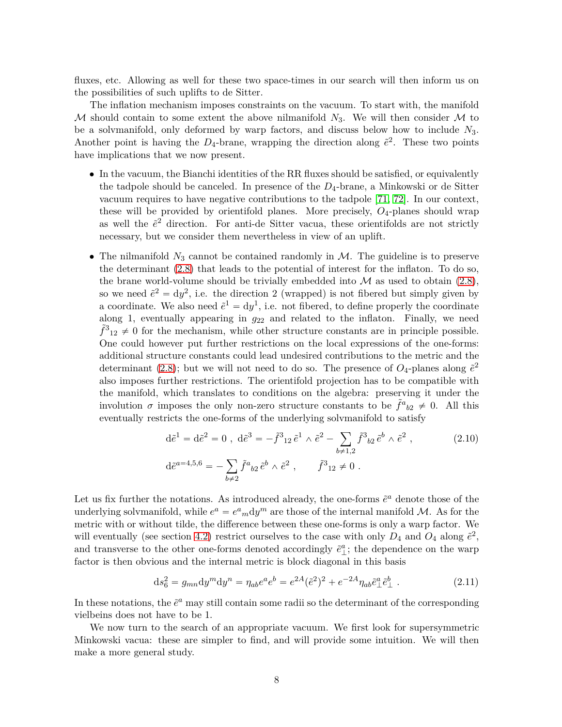fluxes, etc. Allowing as well for these two space-times in our search will then inform us on the possibilities of such uplifts to de Sitter.

The inflation mechanism imposes constraints on the vacuum. To start with, the manifold M should contain to some extent the above nilmanifold  $N_3$ . We will then consider M to be a solvmanifold, only deformed by warp factors, and discuss below how to include *N*3. Another point is having the  $D_4$ -brane, wrapping the direction along  $\tilde{e}^2$ . These two points have implications that we now present.

- In the vacuum, the Bianchi identities of the RR fluxes should be satisfied, or equivalently the tadpole should be canceled. In presence of the *D*4-brane, a Minkowski or de Sitter vacuum requires to have negative contributions to the tadpole [\[71,](#page-30-3) [72\]](#page-30-4). In our context, these will be provided by orientifold planes. More precisely, *O*4-planes should wrap as well the  $\tilde{e}^2$  direction. For anti-de Sitter vacua, these orientifolds are not strictly necessary, but we consider them nevertheless in view of an uplift.
- The nilmanifold  $N_3$  cannot be contained randomly in  $M$ . The guideline is to preserve the determinant [\(2.8\)](#page-5-2) that leads to the potential of interest for the inflaton. To do so, the brane world-volume should be trivially embedded into  $\mathcal M$  as used to obtain [\(2.8\)](#page-5-2), so we need  $\tilde{e}^2 = dy^2$ , i.e. the direction 2 (wrapped) is not fibered but simply given by a coordinate. We also need  $\tilde{e}^1 = dy^1$ , i.e. not fibered, to define properly the coordinate along 1, eventually appearing in  $g_{22}$  and related to the inflaton. Finally, we need  $\tilde{f}^3{}_{12} \neq 0$  for the mechanism, while other structure constants are in principle possible. One could however put further restrictions on the local expressions of the one-forms: additional structure constants could lead undesired contributions to the metric and the determinant [\(2.8\)](#page-5-2); but we will not need to do so. The presence of  $O_4$ -planes along  $\tilde{e}^2$ also imposes further restrictions. The orientifold projection has to be compatible with the manifold, which translates to conditions on the algebra: preserving it under the involution  $\sigma$  imposes the only non-zero structure constants to be  $\tilde{f}^a{}_{b2} \neq 0$ . All this eventually restricts the one-forms of the underlying solvmanifold to satisfy

<span id="page-7-0"></span>
$$
d\tilde{e}^{1} = d\tilde{e}^{2} = 0, \ d\tilde{e}^{3} = -\tilde{f}^{3}{}_{12}\tilde{e}^{1} \wedge \tilde{e}^{2} - \sum_{b \neq 1,2} \tilde{f}^{3}{}_{b2}\tilde{e}^{b} \wedge \tilde{e}^{2} ,
$$
\n
$$
d\tilde{e}^{a=4,5,6} = -\sum_{b \neq 2} \tilde{f}^{a}{}_{b2}\tilde{e}^{b} \wedge \tilde{e}^{2} , \qquad \tilde{f}^{3}{}_{12} \neq 0 .
$$
\n(2.10)

Let us fix further the notations. As introduced already, the one-forms  $\tilde{e}^a$  denote those of the underlying solvmanifold, while  $e^a = e^a{}_m dy^m$  are those of the internal manifold M. As for the metric with or without tilde, the difference between these one-forms is only a warp factor. We will eventually (see section [4.2\)](#page-18-0) restrict ourselves to the case with only  $D_4$  and  $\overline{O}_4$  along  $\tilde{e}^2$ , and transverse to the other one-forms denoted accordingly  $\tilde{e}^a_\perp$ ; the dependence on the warp factor is then obvious and the internal metric is block diagonal in this basis

<span id="page-7-1"></span>
$$
ds_6^2 = g_{mn} dy^m dy^n = \eta_{ab} e^a e^b = e^{2A} (\tilde{e}^2)^2 + e^{-2A} \eta_{ab} \tilde{e}^a_\perp \tilde{e}^b_\perp . \tag{2.11}
$$

In these notations, the  $\tilde{e}^a$  may still contain some radii so the determinant of the corresponding vielbeins does not have to be 1.

We now turn to the search of an appropriate vacuum. We first look for supersymmetric Minkowski vacua: these are simpler to find, and will provide some intuition. We will then make a more general study.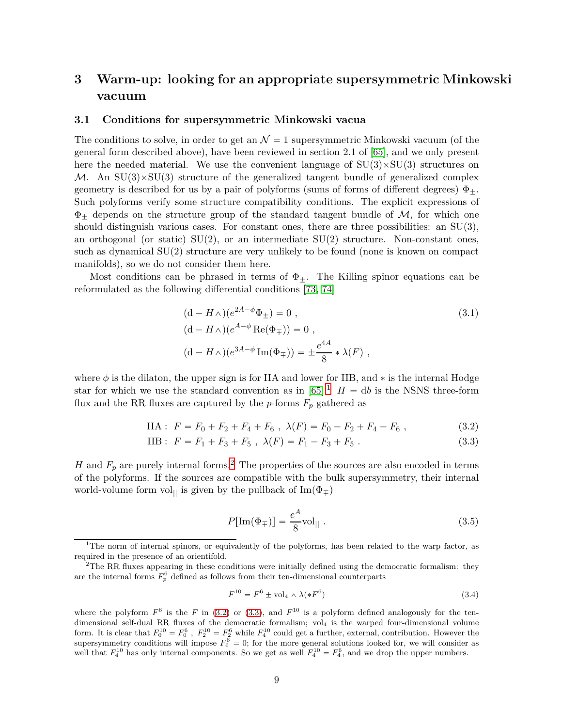# <span id="page-8-0"></span>**3 Warm-up: looking for an appropriate supersymmetric Minkowski vacuum**

### <span id="page-8-1"></span>**3.1 Conditions for supersymmetric Minkowski vacua**

The conditions to solve, in order to get an  $\mathcal{N}=1$  supersymmetric Minkowski vacuum (of the general form described above), have been reviewed in section 2.1 of [\[65\]](#page-29-15), and we only present here the needed material. We use the convenient language of  $SU(3) \times SU(3)$  structures on M. An  $SU(3) \times SU(3)$  structure of the generalized tangent bundle of generalized complex geometry is described for us by a pair of polyforms (sums of forms of different degrees)  $\Phi_{+}$ . Such polyforms verify some structure compatibility conditions. The explicit expressions of  $\Phi_+$  depends on the structure group of the standard tangent bundle of  $\mathcal{M}$ , for which one should distinguish various cases. For constant ones, there are three possibilities: an  $SU(3)$ , an orthogonal (or static)  $SU(2)$ , or an intermediate  $SU(2)$  structure. Non-constant ones, such as dynamical SU(2) structure are very unlikely to be found (none is known on compact manifolds), so we do not consider them here.

Most conditions can be phrased in terms of  $\Phi_{\pm}$ . The Killing spinor equations can be reformulated as the following differential conditions [\[73,](#page-30-5) [74\]](#page-30-6)

<span id="page-8-6"></span>
$$
(d - H \wedge)(e^{2A - \phi} \Phi_{\pm}) = 0 ,
$$
  
\n
$$
(d - H \wedge)(e^{A - \phi} \operatorname{Re}(\Phi_{\mp})) = 0 ,
$$
  
\n
$$
(d - H \wedge)(e^{3A - \phi} \operatorname{Im}(\Phi_{\mp})) = \pm \frac{e^{4A}}{8} * \lambda(F) ,
$$
\n(3.1)

where  $\phi$  is the dilaton, the upper sign is for IIA and lower for IIB, and  $*$  is the internal Hodge star for which we use the standard convention as in  $[65]$ .<sup>[1](#page-8-2)</sup>  $H = db$  is the NSNS three-form flux and the RR fluxes are captured by the  $p$ -forms  $F_p$  gathered as

$$
IIA: F = F_0 + F_2 + F_4 + F_6, \ \lambda(F) = F_0 - F_2 + F_4 - F_6 \ , \tag{3.2}
$$

IIB: 
$$
F = F_1 + F_3 + F_5
$$
,  $\lambda(F) = F_1 - F_3 + F_5$ . (3.3)

*H* and  $F_p$  are purely internal forms.<sup>[2](#page-8-3)</sup> The properties of the sources are also encoded in terms of the polyforms. If the sources are compatible with the bulk supersymmetry, their internal world-volume form vol<sub>||</sub> is given by the pullback of  $\text{Im}(\Phi_{\pm})$ 

<span id="page-8-7"></span><span id="page-8-5"></span><span id="page-8-4"></span>
$$
P[\text{Im}(\Phi_{\mp})] = \frac{e^A}{8} \text{vol}_{\parallel} . \tag{3.5}
$$

$$
F^{10} = F^6 \pm \text{vol}_4 \wedge \lambda (\ast F^6) \tag{3.4}
$$

where the polyform  $F^6$  is the *F* in [\(3.2\)](#page-8-4) or [\(3.3\)](#page-8-5), and  $F^{10}$  is a polyform defined analogously for the tendimensional self-dual RR fluxes of the democratic formalism; vol<sub>4</sub> is the warped four-dimensional volume form. It is clear that  $F_0^{10} = F_0^6$ ,  $F_2^{10} = F_2^6$  while  $F_4^{10}$  could get a further, external, contribution. However the supersymmetry conditions will impose  $F_6^6 = 0$ ; for the more general solutions looked for, we will consider as well that  $F_4^{10}$  has only internal components. So we get as well  $F_4^{10} = F_4^6$ , and we drop the upper numbers.

<span id="page-8-2"></span><sup>&</sup>lt;sup>1</sup>The norm of internal spinors, or equivalently of the polyforms, has been related to the warp factor, as required in the presence of an orientifold.

<span id="page-8-3"></span> $2$ The RR fluxes appearing in these conditions were initially defined using the democratic formalism: they are the internal forms  $F_p^6$  defined as follows from their ten-dimensional counterparts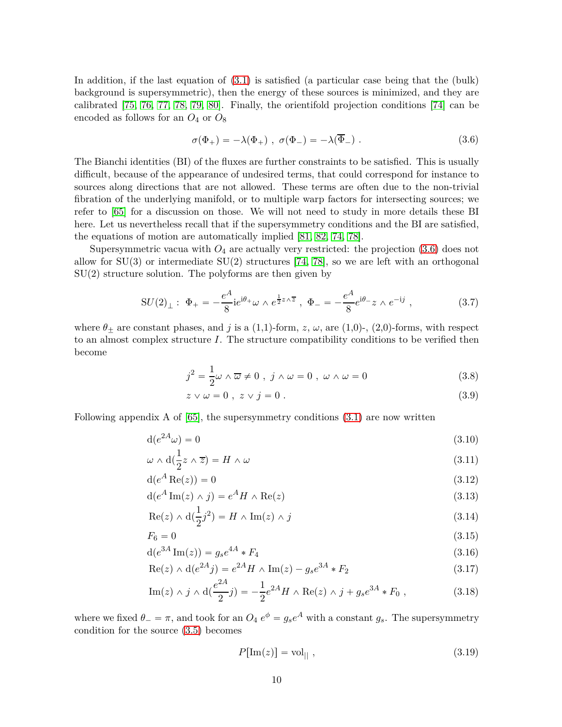In addition, if the last equation of [\(3.1\)](#page-8-6) is satisfied (a particular case being that the (bulk) background is supersymmetric), then the energy of these sources is minimized, and they are calibrated [\[75,](#page-30-7) [76,](#page-30-8) [77,](#page-30-9) [78,](#page-30-10) [79,](#page-30-11) [80\]](#page-30-12). Finally, the orientifold projection conditions [\[74\]](#page-30-6) can be encoded as follows for an  ${\cal O}_4$  or  ${\cal O}_8$ 

<span id="page-9-0"></span>
$$
\sigma(\Phi_+) = -\lambda(\Phi_+) , \quad \sigma(\Phi_-) = -\lambda(\overline{\Phi}_-) . \tag{3.6}
$$

The Bianchi identities (BI) of the fluxes are further constraints to be satisfied. This is usually difficult, because of the appearance of undesired terms, that could correspond for instance to sources along directions that are not allowed. These terms are often due to the non-trivial fibration of the underlying manifold, or to multiple warp factors for intersecting sources; we refer to [\[65\]](#page-29-15) for a discussion on those. We will not need to study in more details these BI here. Let us nevertheless recall that if the supersymmetry conditions and the BI are satisfied, the equations of motion are automatically implied [\[81,](#page-30-13) [82,](#page-30-14) [74,](#page-30-6) [78\]](#page-30-10).

Supersymmetric vacua with  $O_4$  are actually very restricted: the projection  $(3.6)$  does not allow for  $SU(3)$  or intermediate  $SU(2)$  structures [\[74,](#page-30-6) [78\]](#page-30-10), so we are left with an orthogonal  $SU(2)$  structure solution. The polyforms are then given by

$$
SU(2)_{\perp}: \ \Phi_{+} = -\frac{e^{A}}{8} i e^{i\theta_{+}} \omega \wedge e^{\frac{1}{2} z \wedge \overline{z}}, \ \Phi_{-} = -\frac{e^{A}}{8} e^{i\theta_{-}} z \wedge e^{-ij}, \tag{3.7}
$$

where  $\theta_{\pm}$  are constant phases, and *j* is a (1,1)-form, *z*,  $\omega$ , are (1,0)-, (2,0)-forms, with respect to an almost complex structure *I*. The structure compatibility conditions to be verified then become

$$
j^2 = \frac{1}{2}\omega \wedge \overline{\omega} \neq 0 \ , \ j \wedge \omega = 0 \ , \ \omega \wedge \omega = 0 \tag{3.8}
$$

<span id="page-9-5"></span><span id="page-9-4"></span><span id="page-9-3"></span><span id="page-9-2"></span><span id="page-9-1"></span>
$$
z \vee \omega = 0 \; , \; z \vee j = 0 \; . \tag{3.9}
$$

Following appendix A of [\[65\]](#page-29-15), the supersymmetry conditions [\(3.1\)](#page-8-6) are now written

$$
d(e^{2A}\omega) = 0 \tag{3.10}
$$

$$
\omega \wedge d(\frac{1}{2}z \wedge \overline{z}) = H \wedge \omega \tag{3.11}
$$

$$
d(e^A \operatorname{Re}(z)) = 0 \tag{3.12}
$$

$$
d(e^A Im(z) \wedge j) = e^A H \wedge Re(z)
$$
\n(3.13)

$$
\operatorname{Re}(z) \wedge \mathrm{d}(\frac{1}{2}j^2) = H \wedge \operatorname{Im}(z) \wedge j \tag{3.14}
$$

$$
F_6 = 0 \tag{3.15}
$$

$$
d(e^{3A} \operatorname{Im}(z)) = g_s e^{4A} * F_4 \tag{3.16}
$$

$$
Re(z) \wedge d(e^{2A}j) = e^{2A}H \wedge Im(z) - g_s e^{3A} * F_2
$$
\n(3.17)

Im(z) 
$$
\wedge
$$
 j  $\wedge$  d( $\frac{e^{2A}}{2}$ j) =  $-\frac{1}{2}e^{2A}H \wedge \text{Re}(z) \wedge j + g_s e^{3A} * F_0$ , (3.18)

where we fixed  $\theta_{-} = \pi$ , and took for an  $O_4 e^{\phi} = g_s e^A$  with a constant  $g_s$ . The supersymmetry condition for the source [\(3.5\)](#page-8-7) becomes

<span id="page-9-10"></span><span id="page-9-9"></span><span id="page-9-8"></span><span id="page-9-7"></span><span id="page-9-6"></span>
$$
P[\text{Im}(z)] = \text{vol}_{\parallel} , \qquad (3.19)
$$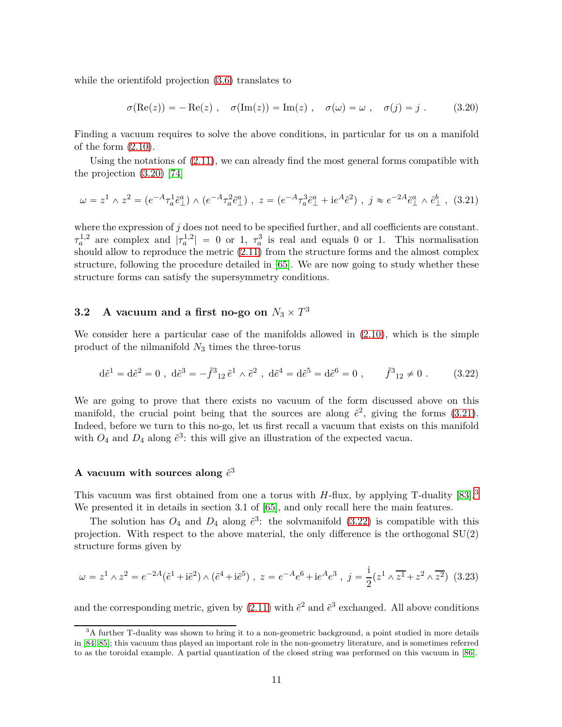while the orientifold projection [\(3.6\)](#page-9-0) translates to

<span id="page-10-1"></span>
$$
\sigma(\text{Re}(z)) = -\text{Re}(z) , \quad \sigma(\text{Im}(z)) = \text{Im}(z) , \quad \sigma(\omega) = \omega , \quad \sigma(j) = j . \tag{3.20}
$$

Finding a vacuum requires to solve the above conditions, in particular for us on a manifold of the form [\(2.10\)](#page-7-0).

Using the notations of  $(2.11)$ , we can already find the most general forms compatible with the projection [\(3.20\)](#page-10-1) [\[74\]](#page-30-6)

<span id="page-10-2"></span>
$$
\omega = z^1 \wedge z^2 = (e^{-A} \tau_a^1 \tilde{e}_{\perp}^a) \wedge (e^{-A} \tau_a^2 \tilde{e}_{\perp}^a) , \ z = (e^{-A} \tau_a^3 \tilde{e}_{\perp}^a + i e^A \tilde{e}^2) , \ j \approx e^{-2A} \tilde{e}_{\perp}^a \wedge \tilde{e}_{\perp}^b , \ (3.21)
$$

where the expression of  $j$  does not need to be specified further, and all coefficients are constant.  $\tau_a^{1,2}$  are complex and  $|\tau_a^{1,2}| = 0$  or 1,  $\tau_a^3$  $a_a^3$  is real and equals 0 or 1. This normalisation should allow to reproduce the metric [\(2.11\)](#page-7-1) from the structure forms and the almost complex structure, following the procedure detailed in [\[65\]](#page-29-15). We are now going to study whether these structure forms can satisfy the supersymmetry conditions.

# <span id="page-10-0"></span>**3.2** A vacuum and a first no-go on  $N_3 \times T^3$

We consider here a particular case of the manifolds allowed in [\(2.10\)](#page-7-0), which is the simple product of the nilmanifold *N*3 times the three-torus

<span id="page-10-4"></span>
$$
d\tilde{e}^1 = d\tilde{e}^2 = 0 \; , \; d\tilde{e}^3 = -\tilde{f}^3{}_{12} \tilde{e}^1 \wedge \tilde{e}^2 \; , \; d\tilde{e}^4 = d\tilde{e}^5 = d\tilde{e}^6 = 0 \; , \qquad \tilde{f}^3{}_{12} \neq 0 \; . \tag{3.22}
$$

We are going to prove that there exists no vacuum of the form discussed above on this manifold, the crucial point being that the sources are along  $\tilde{e}^2$ , giving the forms [\(3.21\)](#page-10-2). Indeed, before we turn to this no-go, let us first recall a vacuum that exists on this manifold with  $O_4$  and  $D_4$  along  $\tilde{e}^3$ : this will give an illustration of the expected vacua.

## A vacuum with sources along  $\tilde{e}^3$

This vacuum was first obtained from one a torus with *H*-flux, by applying T-duality [\[83\]](#page-30-15).<sup>[3](#page-10-3)</sup> We presented it in details in section 3.1 of [\[65\]](#page-29-15), and only recall here the main features.

The solution has  $O_4$  and  $D_4$  along  $\tilde{e}^3$ : the solvmanifold [\(3.22\)](#page-10-4) is compatible with this projection. With respect to the above material, the only difference is the orthogonal SU(2) structure forms given by

$$
\omega = z^1 \wedge z^2 = e^{-2A} (\tilde{e}^1 + i\tilde{e}^2) \wedge (\tilde{e}^4 + i\tilde{e}^5) , \ z = e^{-A} e^6 + i e^A e^3 , \ j = \frac{i}{2} (z^1 \wedge \overline{z^1} + z^2 \wedge \overline{z^2})
$$
 (3.23)

and the corresponding metric, given by  $(2.11)$  with  $\tilde{e}^2$  and  $\tilde{e}^3$  exchanged. All above conditions

<span id="page-10-3"></span> $3A$  further T-duality was shown to bring it to a non-geometric background, a point studied in more details in [\[84,](#page-30-16) [85\]](#page-30-17); this vacuum thus played an important role in the non-geometry literature, and is sometimes referred to as the toroidal example. A partial quantization of the closed string was performed on this vacuum in [\[86\]](#page-31-0).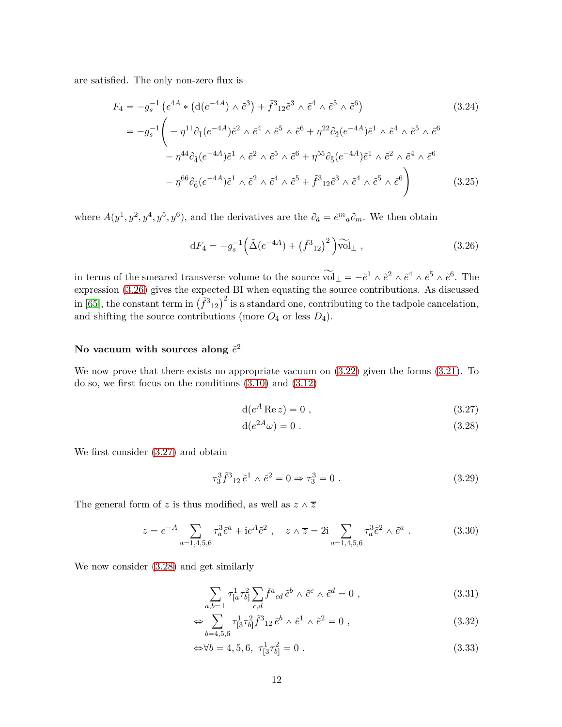are satisfied. The only non-zero flux is

$$
F_4 = -g_s^{-1} \left( e^{4A} * \left( d(e^{-4A}) \wedge \tilde{e}^3 \right) + \tilde{f}^3 {}_{12} \tilde{e}^3 \wedge \tilde{e}^4 \wedge \tilde{e}^5 \wedge \tilde{e}^6 \right) \tag{3.24}
$$
  
\n
$$
= -g_s^{-1} \left( -\eta^{11} \partial_1 (e^{-4A}) \tilde{e}^2 \wedge \tilde{e}^4 \wedge \tilde{e}^5 \wedge \tilde{e}^6 + \eta^{22} \partial_2 (e^{-4A}) \tilde{e}^1 \wedge \tilde{e}^4 \wedge \tilde{e}^5 \wedge \tilde{e}^6 \right)
$$
  
\n
$$
- \eta^{44} \partial_4 (e^{-4A}) \tilde{e}^1 \wedge \tilde{e}^2 \wedge \tilde{e}^5 \wedge \tilde{e}^6 + \eta^{55} \partial_5 (e^{-4A}) \tilde{e}^1 \wedge \tilde{e}^2 \wedge \tilde{e}^4 \wedge \tilde{e}^6
$$
  
\n
$$
- \eta^{66} \partial_6 (e^{-4A}) \tilde{e}^1 \wedge \tilde{e}^2 \wedge \tilde{e}^4 \wedge \tilde{e}^5 + \tilde{f}^3 {}_{12} \tilde{e}^3 \wedge \tilde{e}^4 \wedge \tilde{e}^5 \wedge \tilde{e}^6 \right) \tag{3.25}
$$

where  $A(y^1, y^2, y^4, y^5, y^6)$ , and the derivatives are the  $\partial_{\tilde{a}} = \tilde{e}^m{}_a \partial_m$ . We then obtain

<span id="page-11-6"></span><span id="page-11-0"></span>
$$
dF_4 = -g_s^{-1} \left( \tilde{\Delta} (e^{-4A}) + (\tilde{f}^3{}_{12})^2 \right) \widetilde{\text{vol}}_{\perp} , \qquad (3.26)
$$

in terms of the smeared transverse volume to the source  $\widetilde{\text{vol}}_{\perp} = -\tilde{e}^1 \wedge \tilde{e}^2 \wedge \tilde{e}^4 \wedge \tilde{e}^5 \wedge \tilde{e}^6$ . The expression [\(3.26\)](#page-11-0) gives the expected BI when equating the source contributions. As discussed in [\[65\]](#page-29-15), the constant term in  $(\tilde{f}^3{}_{12})^2$  is a standard one, contributing to the tadpole cancelation, and shifting the source contributions (more  $O_4$  or less  $D_4$ ).

## No vacuum with sources along  $\tilde{e}^2$

We now prove that there exists no appropriate vacuum on [\(3.22\)](#page-10-4) given the forms [\(3.21\)](#page-10-2). To do so, we first focus on the conditions [\(3.10\)](#page-9-1) and [\(3.12\)](#page-9-2)

<span id="page-11-2"></span><span id="page-11-1"></span>
$$
d(e^A \operatorname{Re} z) = 0 , \qquad (3.27)
$$

$$
d(e^{2A}\omega) = 0.
$$
\n
$$
(3.28)
$$

We first consider [\(3.27\)](#page-11-1) and obtain

<span id="page-11-5"></span>
$$
\tau_3^3 \tilde{f}^3{}_{12} \tilde{e}^1 \wedge \tilde{e}^2 = 0 \Rightarrow \tau_3^3 = 0 \; . \tag{3.29}
$$

The general form of *z* is thus modified, as well as  $z \wedge \overline{z}$ 

<span id="page-11-3"></span>
$$
z = e^{-A} \sum_{a=1,4,5,6} \tau_a^3 \tilde{e}^a + i e^A \tilde{e}^2 , \quad z \wedge \overline{z} = 2i \sum_{a=1,4,5,6} \tau_a^3 \tilde{e}^2 \wedge \tilde{e}^a . \tag{3.30}
$$

We now consider [\(3.28\)](#page-11-2) and get similarly

<span id="page-11-4"></span>
$$
\sum_{a,b=\perp} \tau^1_{[a} \tau^2_{b]} \sum_{c,d} \tilde{f}^a_{\,cd} \,\tilde{e}^b \wedge \tilde{e}^c \wedge \tilde{e}^d = 0 \;, \tag{3.31}
$$

$$
\Leftrightarrow \sum_{b=4,5,6} \tau^1_{[3} \tau^2_{b]} \tilde{f}^3_{12} \tilde{e}^b \wedge \tilde{e}^1 \wedge \tilde{e}^2 = 0 , \qquad (3.32)
$$

$$
\Leftrightarrow \forall b = 4, 5, 6, \ \tau^1_{[3}\tau^2_{b]} = 0 \ . \tag{3.33}
$$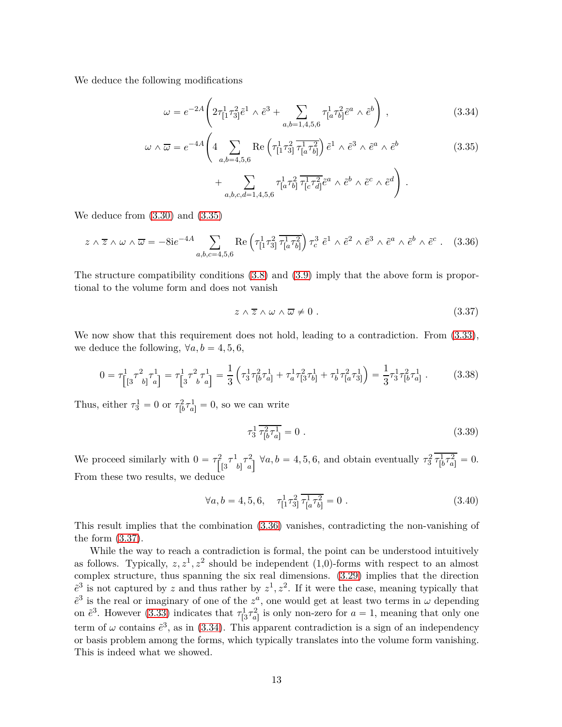We deduce the following modifications

<span id="page-12-3"></span>
$$
\omega = e^{-2A} \left( 2\tau_{[1}^{1}\tau_{3]}^{2}\tilde{e}^{1} \wedge \tilde{e}^{3} + \sum_{a,b=1,4,5,6} \tau_{[a}^{1}\tau_{b]}^{2}\tilde{e}^{a} \wedge \tilde{e}^{b} \right), \qquad (3.34)
$$

$$
\omega \wedge \overline{\omega} = e^{-4A} \left( 4 \sum_{a,b=4,5,6} \text{Re} \left( \tau_{[1}^{1} \tau_{3]}^{2} \overline{\tau_{[a}^{1} \tau_{b]}^{2}} \right) \tilde{e}^{1} \wedge \tilde{e}^{3} \wedge \tilde{e}^{a} \wedge \tilde{e}^{b} \right) \right)
$$
  
+ 
$$
\sum_{a,b,c,d=1,4,5,6} \tau_{[a}^{1} \tau_{b]}^{2} \overline{\tau_{[c}^{1} \tau_{d]}^{2}} \tilde{e}^{a} \wedge \tilde{e}^{b} \wedge \tilde{e}^{c} \wedge \tilde{e}^{d} \right).
$$
 (3.35)

We deduce from [\(3.30\)](#page-11-3) and [\(3.35\)](#page-12-0)

<span id="page-12-1"></span>
$$
z \wedge \overline{z} \wedge \omega \wedge \overline{\omega} = -8ie^{-4A} \sum_{a,b,c=4,5,6} \text{Re}\left(\tau_{\left[1}^{1} \tau_{3}^{2}\right]} \overline{\tau_{\left[a}^{1} \tau_{b\right]}^{2}}\right) \tau_{c}^{3} \tilde{e}^{1} \wedge \tilde{e}^{2} \wedge \tilde{e}^{3} \wedge \tilde{e}^{a} \wedge \tilde{e}^{b} \wedge \tilde{e}^{c} \ . \tag{3.36}
$$

The structure compatibility conditions [\(3.8\)](#page-9-3) and [\(3.9\)](#page-9-4) imply that the above form is proportional to the volume form and does not vanish

<span id="page-12-2"></span><span id="page-12-0"></span>
$$
z \wedge \overline{z} \wedge \omega \wedge \overline{\omega} \neq 0. \tag{3.37}
$$

We now show that this requirement does not hold, leading to a contradiction. From  $(3.33)$ , we deduce the following,  $\forall a, b = 4, 5, 6,$ 

$$
0 = \tau_{\left[\left[3\right]}^1 \tau_{b\right]}^2 \tau_{a\right]}^1 = \tau_{\left[3\right]}^1 \tau_{b\left[a\right]}^2 = \frac{1}{3} \left( \tau_{3}^1 \tau_{\left[b\right]}^2 \tau_{a\left]}^1 + \tau_{a\left[\left[3\right] \tau_{b\right]}^1 + \tau_{b\left[\left[4\right] \tau_{a\left]}^2\right]}^1 \right) = \frac{1}{3} \tau_{3}^1 \tau_{\left[b\right]}^2 \tau_{a\left]}^1 \ . \tag{3.38}
$$

Thus, either  $\tau_3^1 = 0$  or  $\tau_{\text{F}}^2$  $\frac{c^2}{b^2} \tau a^1 = 0$ , so we can write

$$
\tau_3^1 \, \overline{\tau_{[b}^2 \tau_{a]}^1} = 0 \tag{3.39}
$$

We proceed similarly with  $0 = \tau_{\parallel}^2$  $\int_0^1$ <sup>1</sup>  $b]^{\mathcal{T}_a^2}$  $a_1^2 \quad \forall a, b = 4, 5, 6$ , and obtain eventually  $\tau_3^2 \tau_{[b]}^1$  $\frac{1}{[b\tau_a^2]} = 0.$ From these two results, we deduce

$$
\forall a, b = 4, 5, 6, \quad \tau_{[1}^{1} \tau_{3]}^{2} \overline{\tau_{[a}^{1} \tau_{b]}^{2}} = 0.
$$
 (3.40)

This result implies that the combination [\(3.36\)](#page-12-1) vanishes, contradicting the non-vanishing of the form [\(3.37\)](#page-12-2).

While the way to reach a contradiction is formal, the point can be understood intuitively as follows. Typically,  $z, z^1, z^2$  should be independent  $(1,0)$ -forms with respect to an almost complex structure, thus spanning the six real dimensions. [\(3.29\)](#page-11-5) implies that the direction  $e^3$  is not captured by *z* and thus rather by  $z^1, z^2$ . If it were the case, meaning typically that  $e^3$  is the real or imaginary of one of the  $z^a$ , one would get at least two terms in  $\omega$  depending on  $\tilde{e}^3$ . However [\(3.33\)](#page-11-4) indicates that  $\tau^1_{\left[3\right.7\right.}^{\left[2\right.7\right.}$  $a_{a}^2$  is only non-zero for  $a = 1$ , meaning that only one term of  $\omega$  contains  $\tilde{e}^3$ , as in [\(3.34\)](#page-12-3). This apparent contradiction is a sign of an independency or basis problem among the forms, which typically translates into the volume form vanishing. This is indeed what we showed.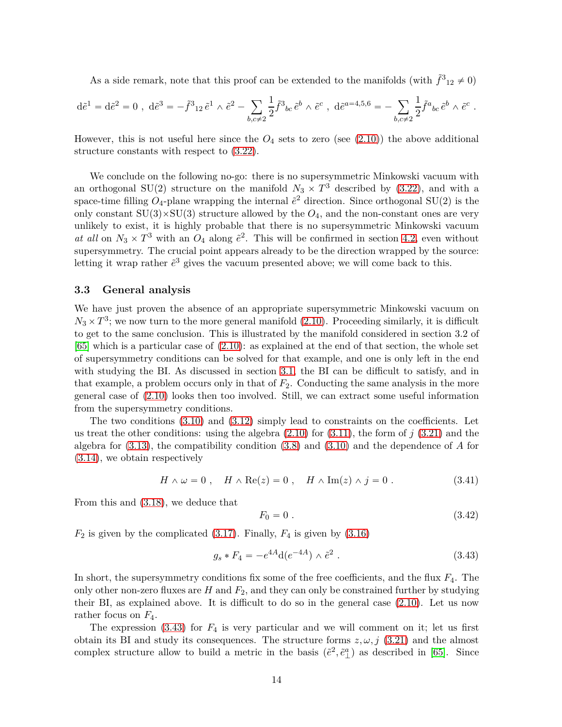As a side remark, note that this proof can be extended to the manifolds (with  $\tilde{f}^3_{12} \neq 0$ )

$$
d\tilde{e}^1 = d\tilde{e}^2 = 0 \; , \; d\tilde{e}^3 = -\tilde{f}^3{}_{12} \tilde{e}^1 \wedge \tilde{e}^2 - \sum_{b,c \neq 2} \frac{1}{2} \tilde{f}^3{}_{bc} \tilde{e}^b \wedge \tilde{e}^c \; , \; d\tilde{e}^{a=4,5,6} = - \sum_{b,c \neq 2} \frac{1}{2} \tilde{f}^a{}_{bc} \tilde{e}^b \wedge \tilde{e}^c \; .
$$

However, this is not useful here since the  $O_4$  sets to zero (see  $(2.10)$ ) the above additional structure constants with respect to [\(3.22\)](#page-10-4).

We conclude on the following no-go: there is no supersymmetric Minkowski vacuum with an orthogonal SU(2) structure on the manifold  $N_3 \times T^3$  described by [\(3.22\)](#page-10-4), and with a space-time filling  $O_4$ -plane wrapping the internal  $\tilde{e}^2$  direction. Since orthogonal SU(2) is the only constant  $SU(3) \times SU(3)$  structure allowed by the  $O_4$ , and the non-constant ones are very unlikely to exist, it is highly probable that there is no supersymmetric Minkowski vacuum at all on  $N_3 \times T^3$  with an  $O_4$  along  $\tilde{e}^2$ . This will be confirmed in section [4.2,](#page-18-0) even without supersymmetry. The crucial point appears already to be the direction wrapped by the source: letting it wrap rather  $\tilde{e}^3$  gives the vacuum presented above; we will come back to this.

#### <span id="page-13-0"></span>**3.3 General analysis**

We have just proven the absence of an appropriate supersymmetric Minkowski vacuum on  $N_3 \times T^3$ ; we now turn to the more general manifold [\(2.10\)](#page-7-0). Proceeding similarly, it is difficult to get to the same conclusion. This is illustrated by the manifold considered in section 3.2 of [\[65\]](#page-29-15) which is a particular case of [\(2.10\)](#page-7-0): as explained at the end of that section, the whole set of supersymmetry conditions can be solved for that example, and one is only left in the end with studying the BI. As discussed in section [3.1,](#page-8-1) the BI can be difficult to satisfy, and in that example, a problem occurs only in that of *F*2. Conducting the same analysis in the more general case of [\(2.10\)](#page-7-0) looks then too involved. Still, we can extract some useful information from the supersymmetry conditions.

The two conditions  $(3.10)$  and  $(3.12)$  simply lead to constraints on the coefficients. Let us treat the other conditions: using the algebra [\(2.10\)](#page-7-0) for [\(3.11\)](#page-9-5), the form of *j* [\(3.21\)](#page-10-2) and the algebra for [\(3.13\)](#page-9-6), the compatibility condition [\(3.8\)](#page-9-3) and [\(3.10\)](#page-9-1) and the dependence of *A* for [\(3.14\)](#page-9-7), we obtain respectively

$$
H \wedge \omega = 0 , \quad H \wedge \text{Re}(z) = 0 , \quad H \wedge \text{Im}(z) \wedge j = 0 . \tag{3.41}
$$

From this and [\(3.18\)](#page-9-8), we deduce that

$$
F_0 = 0. \t\t(3.42)
$$

 $F_2$  is given by the complicated [\(3.17\)](#page-9-9). Finally,  $F_4$  is given by [\(3.16\)](#page-9-10)

<span id="page-13-1"></span>
$$
g_s * F_4 = -e^{4A} d(e^{-4A}) \wedge \tilde{e}^2.
$$
 (3.43)

In short, the supersymmetry conditions fix some of the free coefficients, and the flux *F*4. The only other non-zero fluxes are  $H$  and  $F_2$ , and they can only be constrained further by studying their BI, as explained above. It is difficult to do so in the general case [\(2.10\)](#page-7-0). Let us now rather focus on *F*4.

The expression  $(3.43)$  for  $F_4$  is very particular and we will comment on it; let us first obtain its BI and study its consequences. The structure forms  $z, \omega, j$  [\(3.21\)](#page-10-2) and the almost complex structure allow to build a metric in the basis  $(\tilde{e}^2, \tilde{e}^a_\perp)$  as described in [\[65\]](#page-29-15). Since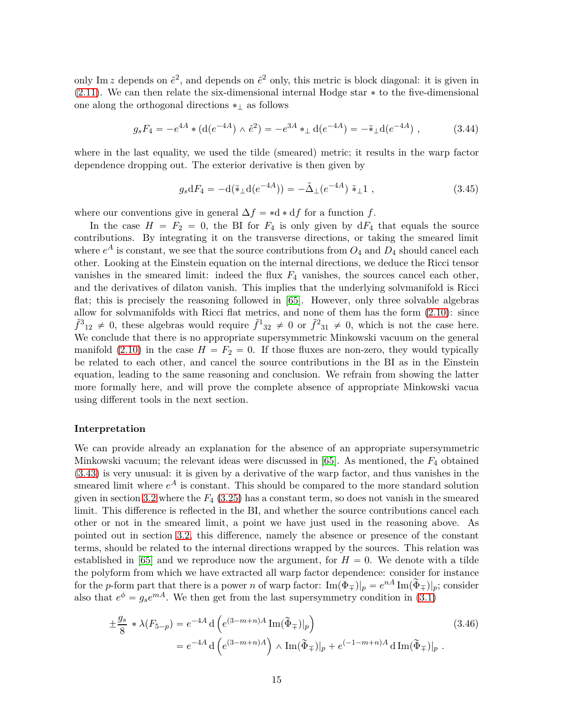only Im *z* depends on  $\tilde{e}^2$ , and depends on  $\tilde{e}^2$  only, this metric is block diagonal: it is given in  $(2.11)$ . We can then relate the six-dimensional internal Hodge star  $*$  to the five-dimensional one along the orthogonal directions  $*_l$  as follows

$$
g_s F_4 = -e^{4A} * (\mathrm{d}(e^{-4A}) \wedge \tilde{e}^2) = -e^{3A} *_{\perp} \mathrm{d}(e^{-4A}) = -\tilde{*}_{\perp} \mathrm{d}(e^{-4A}), \qquad (3.44)
$$

where in the last equality, we used the tilde (smeared) metric; it results in the warp factor dependence dropping out. The exterior derivative is then given by

$$
g_s dF_4 = -d(\tilde{\ast}_{\perp} d(e^{-4A})) = -\tilde{\Delta}_{\perp} (e^{-4A}) \tilde{\ast}_{\perp} 1 , \qquad (3.45)
$$

where our conventions give in general  $\Delta f = *d * df$  for a function *f*.

In the case  $H = F_2 = 0$ , the BI for  $F_4$  is only given by  $dF_4$  that equals the source contributions. By integrating it on the transverse directions, or taking the smeared limit where  $e^{A}$  is constant, we see that the source contributions from  $O_4$  and  $D_4$  should cancel each other. Looking at the Einstein equation on the internal directions, we deduce the Ricci tensor vanishes in the smeared limit: indeed the flux  $F_4$  vanishes, the sources cancel each other, and the derivatives of dilaton vanish. This implies that the underlying solvmanifold is Ricci flat; this is precisely the reasoning followed in [\[65\]](#page-29-15). However, only three solvable algebras allow for solvmanifolds with Ricci flat metrics, and none of them has the form [\(2.10\)](#page-7-0): since  $\tilde{f}^3{}_{12} \neq 0$ , these algebras would require  $\tilde{f}^1{}_{32} \neq 0$  or  $\tilde{f}^2{}_{31} \neq 0$ , which is not the case here. We conclude that there is no appropriate supersymmetric Minkowski vacuum on the general manifold [\(2.10\)](#page-7-0) in the case  $H = F_2 = 0$ . If those fluxes are non-zero, they would typically be related to each other, and cancel the source contributions in the BI as in the Einstein equation, leading to the same reasoning and conclusion. We refrain from showing the latter more formally here, and will prove the complete absence of appropriate Minkowski vacua using different tools in the next section.

#### **Interpretation**

We can provide already an explanation for the absence of an appropriate supersymmetric Minkowski vacuum; the relevant ideas were discussed in [\[65\]](#page-29-15). As mentioned, the *F*4 obtained [\(3.43\)](#page-13-1) is very unusual: it is given by a derivative of the warp factor, and thus vanishes in the smeared limit where  $e^A$  is constant. This should be compared to the more standard solution given in section [3.2](#page-10-0) where the  $F_4$  [\(3.25\)](#page-11-6) has a constant term, so does not vanish in the smeared limit. This difference is reflected in the BI, and whether the source contributions cancel each other or not in the smeared limit, a point we have just used in the reasoning above. As pointed out in section [3.2,](#page-10-0) this difference, namely the absence or presence of the constant terms, should be related to the internal directions wrapped by the sources. This relation was established in [\[65\]](#page-29-15) and we reproduce now the argument, for  $H = 0$ . We denote with a tilde the polyform from which we have extracted all warp factor dependence: consider for instance for the *p*-form part that there is a power *n* of warp factor:  $\text{Im}(\Phi_{\pm})|_p = e^{nA} \text{Im}(\widetilde{\Phi}_{\pm})|_p$ ; consider also that  $e^{\phi} = g_s e^{mA}$ . We then get from the last supersymmetry condition in [\(3.1\)](#page-8-6)

$$
\pm \frac{g_s}{8} * \lambda(F_{5-p}) = e^{-4A} d\left(e^{(3-m+n)A} \operatorname{Im}(\tilde{\Phi}_{\mp})|_p\right)
$$
\n
$$
= e^{-4A} d\left(e^{(3-m+n)A}\right) \wedge \operatorname{Im}(\tilde{\Phi}_{\mp})|_p + e^{(-1-m+n)A} d\operatorname{Im}(\tilde{\Phi}_{\mp})|_p.
$$
\n(3.46)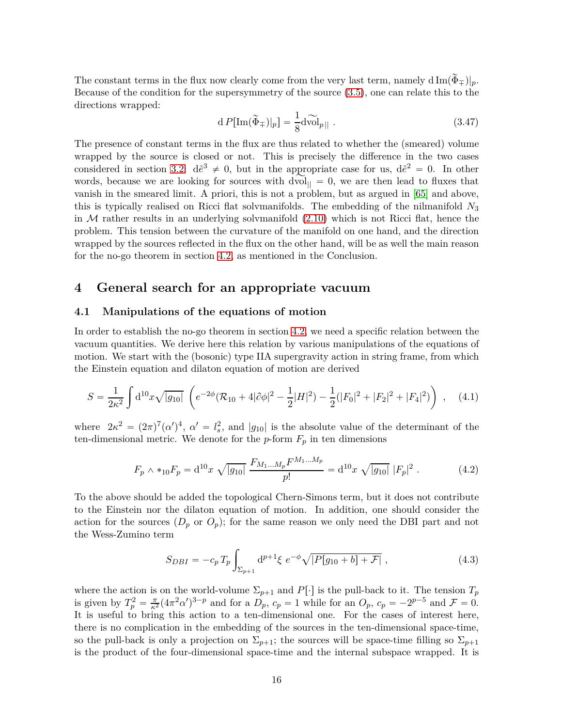The constant terms in the flux now clearly come from the very last term, namely  $d \text{Im}(\Phi_{\mp})|_p$ . Because of the condition for the supersymmetry of the source [\(3.5\)](#page-8-7), one can relate this to the directions wrapped:

$$
d P[\text{Im}(\widetilde{\Phi}_{\mp})|_p] = \frac{1}{8} d \widetilde{\text{vol}}_{p||} . \qquad (3.47)
$$

The presence of constant terms in the flux are thus related to whether the (smeared) volume wrapped by the source is closed or not. This is precisely the difference in the two cases considered in section [3.2:](#page-10-0)  $d\tilde{e}^3 \neq 0$ , but in the appropriate case for us,  $d\tilde{e}^2 = 0$ . In other words, because we are looking for sources with  $dvol_{\parallel} = 0$ , we are then lead to fluxes that vanish in the smeared limit. A priori, this is not a problem, but as argued in [\[65\]](#page-29-15) and above, this is typically realised on Ricci flat solvmanifolds. The embedding of the nilmanifold *N*3 in  $M$  rather results in an underlying solvmanifold  $(2.10)$  which is not Ricci flat, hence the problem. This tension between the curvature of the manifold on one hand, and the direction wrapped by the sources reflected in the flux on the other hand, will be as well the main reason for the no-go theorem in section [4.2,](#page-18-0) as mentioned in the Conclusion.

### <span id="page-15-0"></span>**4 General search for an appropriate vacuum**

### <span id="page-15-1"></span>**4.1 Manipulations of the equations of motion**

In order to establish the no-go theorem in section [4.2,](#page-18-0) we need a specific relation between the vacuum quantities. We derive here this relation by various manipulations of the equations of motion. We start with the (bosonic) type IIA supergravity action in string frame, from which the Einstein equation and dilaton equation of motion are derived

$$
S = \frac{1}{2\kappa^2} \int d^{10}x \sqrt{|g_{10}|} \left( e^{-2\phi} (\mathcal{R}_{10} + 4|\partial \phi|^2 - \frac{1}{2}|H|^2) - \frac{1}{2} (|F_0|^2 + |F_2|^2 + |F_4|^2) \right) , \quad (4.1)
$$

where  $2\kappa^2 = (2\pi)^7 (\alpha')^4$ ,  $\alpha' = l_s^2$  $s<sub>s</sub>$ , and  $|g_{10}|$  is the absolute value of the determinant of the ten-dimensional metric. We denote for the  $p$ -form  $F_p$  in ten dimensions

$$
F_p \wedge *_{10} F_p = \mathrm{d}^{10} x \sqrt{|g_{10}|} \frac{F_{M_1...M_p} F^{M_1...M_p}}{p!} = \mathrm{d}^{10} x \sqrt{|g_{10}|} |F_p|^2 \,. \tag{4.2}
$$

To the above should be added the topological Chern-Simons term, but it does not contribute to the Einstein nor the dilaton equation of motion. In addition, one should consider the action for the sources  $(D_p \text{ or } O_p)$ ; for the same reason we only need the DBI part and not the Wess-Zumino term

$$
S_{DBI} = -c_p T_p \int_{\Sigma_{p+1}} d^{p+1} \xi \ e^{-\phi} \sqrt{|P[g_{10} + b] + \mathcal{F}|} \ , \tag{4.3}
$$

where the action is on the world-volume  $\Sigma_{p+1}$  and  $P[\cdot]$  is the pull-back to it. The tension  $T_p$ is given by  $T_p^2 = \frac{\pi}{\kappa^2} (4\pi^2 \alpha')^{3-p}$  and for a  $D_p$ ,  $c_p = 1$  while for an  $O_p$ ,  $c_p = -2^{p-5}$  and  $\mathcal{F} = 0$ . It is useful to bring this action to a ten-dimensional one. For the cases of interest here, there is no complication in the embedding of the sources in the ten-dimensional space-time, so the pull-back is only a projection on  $\Sigma_{p+1}$ ; the sources will be space-time filling so  $\Sigma_{p+1}$ is the product of the four-dimensional space-time and the internal subspace wrapped. It is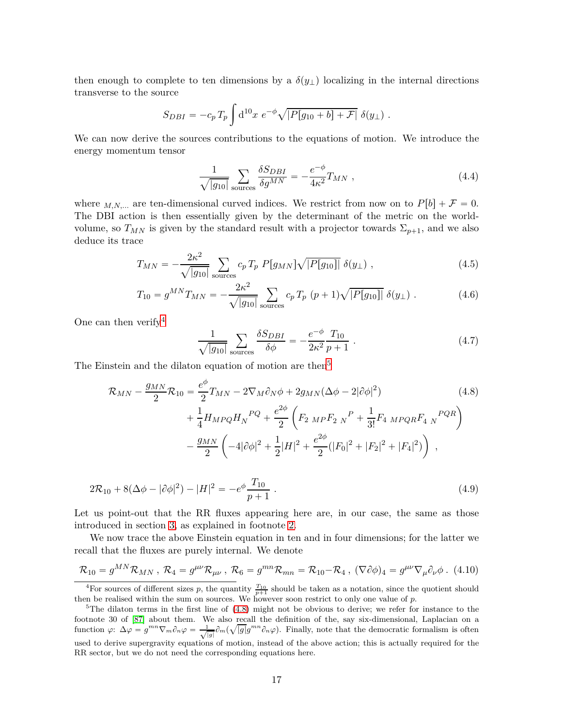then enough to complete to ten dimensions by a  $\delta(y_\perp)$  localizing in the internal directions transverse to the source

$$
S_{DBI} = -c_p T_p \int d^{10}x \ e^{-\phi} \sqrt{|P[g_{10} + b] + \mathcal{F}|} \ \delta(y_\perp) \ .
$$

We can now derive the sources contributions to the equations of motion. We introduce the energy momentum tensor

$$
\frac{1}{\sqrt{|g_{10}|}} \sum_{\text{sources}} \frac{\delta S_{DBI}}{\delta g^{MN}} = -\frac{e^{-\phi}}{4\kappa^2} T_{MN} , \qquad (4.4)
$$

where  $M, N, \dots$  are ten-dimensional curved indices. We restrict from now on to  $P[b] + \mathcal{F} = 0$ . The DBI action is then essentially given by the determinant of the metric on the worldvolume, so  $T_{MN}$  is given by the standard result with a projector towards  $\Sigma_{p+1}$ , and we also deduce its trace

$$
T_{MN} = -\frac{2\kappa^2}{\sqrt{|g_{10}|}} \sum_{\text{sources}} c_p T_p P[g_{MN}] \sqrt{|P[g_{10}]|} \delta(y_\perp) , \qquad (4.5)
$$

$$
T_{10} = g^{MN} T_{MN} = -\frac{2\kappa^2}{\sqrt{|g_{10}|}} \sum_{\text{sources}} c_p T_p (p+1) \sqrt{|P[g_{10}]|} \delta(y_\perp).
$$
 (4.6)

One can then verify  $4$ 

<span id="page-16-2"></span>
$$
\frac{1}{\sqrt{|g_{10}|}} \sum_{\text{sources}} \frac{\delta S_{DBI}}{\delta \phi} = -\frac{e^{-\phi}}{2\kappa^2} \frac{T_{10}}{p+1} \,. \tag{4.7}
$$

The Einstein and the dilaton equation of motion are then<sup>[5](#page-16-1)</sup>

$$
\mathcal{R}_{MN} - \frac{g_{MN}}{2} \mathcal{R}_{10} = \frac{e^{\phi}}{2} T_{MN} - 2 \nabla_M \partial_N \phi + 2 g_{MN} (\Delta \phi - 2 | \partial \phi |^2) \n+ \frac{1}{4} H_{MPQ} H_N^{PQ} + \frac{e^{2\phi}}{2} \left( F_{2 \; MP} F_{2 \; N}^P + \frac{1}{3!} F_{4 \; MPQR} F_{4 \; N}^{PQR} \right) \n- \frac{g_{MN}}{2} \left( -4 | \partial \phi |^2 + \frac{1}{2} |H|^2 + \frac{e^{2\phi}}{2} (|F_0|^2 + |F_2|^2 + |F_4|^2) \right) ,
$$
\n(4.8)

$$
2\mathcal{R}_{10} + 8(\Delta\phi - |\partial\phi|^2) - |H|^2 = -e^{\phi} \frac{T_{10}}{p+1} \,. \tag{4.9}
$$

Let us point-out that the RR fluxes appearing here are, in our case, the same as those introduced in section [3,](#page-8-0) as explained in footnote [2.](#page-8-3)

We now trace the above Einstein equation in ten and in four dimensions; for the latter we recall that the fluxes are purely internal. We denote

$$
\mathcal{R}_{10} = g^{MN}\mathcal{R}_{MN}, \ \mathcal{R}_4 = g^{\mu\nu}\mathcal{R}_{\mu\nu}, \ \mathcal{R}_6 = g^{mn}\mathcal{R}_{mn} = \mathcal{R}_{10} - \mathcal{R}_4, \ (\nabla\partial\phi)_4 = g^{\mu\nu}\nabla_{\mu}\partial_{\nu}\phi. \tag{4.10}
$$

<span id="page-16-0"></span><sup>&</sup>lt;sup>4</sup>For sources of different sizes p, the quantity  $\frac{T_{10}}{p+1}$  should be taken as a notation, since the quotient should then be realised within the sum on sources. We however soon restrict to only one value of *p*.

<span id="page-16-1"></span> $5$ The dilaton terms in the first line of  $(4.8)$  might not be obvious to derive; we refer for instance to the footnote 30 of [\[87\]](#page-31-1) about them. We also recall the definition of the, say six-dimensional, Laplacian on a function  $\varphi: \Delta \varphi = g^{mn} \nabla_m \partial_n \varphi = \frac{1}{\sqrt{|g|}} \partial_m (\sqrt{|g|} g^{mn} \partial_n \varphi)$ . Finally, note that the democratic formalism is often used to derive supergravity equations of motion, instead of the above action; this is actually required for the RR sector, but we do not need the corresponding equations here.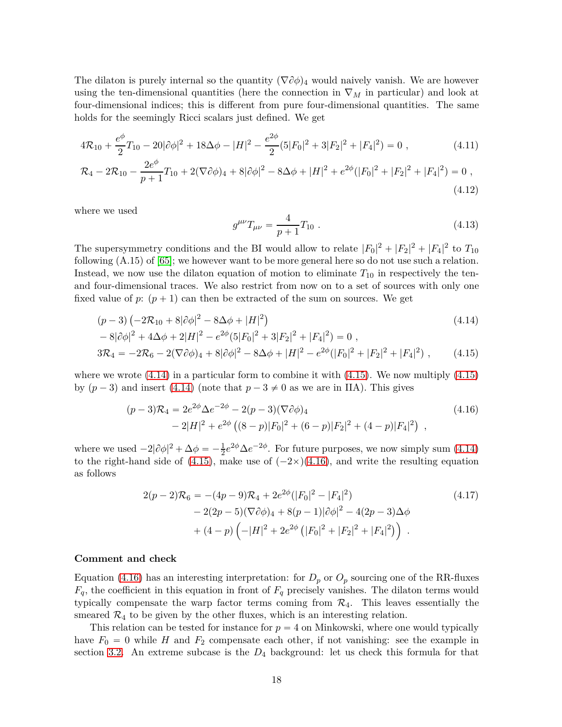The dilaton is purely internal so the quantity  $(\nabla \partial \phi)_4$  would naively vanish. We are however using the ten-dimensional quantities (here the connection in  $\nabla_M$  in particular) and look at four-dimensional indices; this is different from pure four-dimensional quantities. The same holds for the seemingly Ricci scalars just defined. We get

$$
4\mathcal{R}_{10} + \frac{e^{\phi}}{2}T_{10} - 20|\partial\phi|^2 + 18\Delta\phi - |H|^2 - \frac{e^{2\phi}}{2}(5|F_0|^2 + 3|F_2|^2 + |F_4|^2) = 0,
$$
\n(4.11)

$$
\mathcal{R}_4 - 2\mathcal{R}_{10} - \frac{2e^{\phi}}{p+1}T_{10} + 2(\nabla\partial\phi)_4 + 8|\partial\phi|^2 - 8\Delta\phi + |H|^2 + e^{2\phi}(|F_0|^2 + |F_2|^2 + |F_4|^2) = 0,
$$
\n(4.12)

where we used

<span id="page-17-3"></span><span id="page-17-2"></span><span id="page-17-1"></span>
$$
g^{\mu\nu}T_{\mu\nu} = \frac{4}{p+1}T_{10} \tag{4.13}
$$

The supersymmetry conditions and the BI would allow to relate  $|F_0|^2 + |F_2|^2 + |F_4|^2$  to  $T_{10}$ following (A.15) of [\[65\]](#page-29-15); we however want to be more general here so do not use such a relation. Instead, we now use the dilaton equation of motion to eliminate *T*10 in respectively the tenand four-dimensional traces. We also restrict from now on to a set of sources with only one fixed value of  $p: (p+1)$  can then be extracted of the sum on sources. We get

$$
(p-3)\left(-2\mathcal{R}_{10} + 8|\partial\phi|^2 - 8\Delta\phi + |H|^2\right)
$$
  

$$
-8|\partial\phi|^2 + 4\Delta\phi + 2|H|^2 - e^{2\phi}(5|F_0|^2 + 3|F_2|^2 + |F_4|^2) = 0,
$$
 (4.14)

$$
3\mathcal{R}_4 = -2\mathcal{R}_6 - 2(\nabla\partial\phi)_4 + 8|\partial\phi|^2 - 8\Delta\phi + |H|^2 - e^{2\phi}(|F_0|^2 + |F_2|^2 + |F_4|^2) ,\qquad(4.15)
$$

where we wrote  $(4.14)$  in a particular form to combine it with  $(4.15)$ . We now multiply  $(4.15)$ by  $(p-3)$  and insert [\(4.14\)](#page-17-1) (note that  $p-3 \neq 0$  as we are in IIA). This gives

$$
(p-3)\mathcal{R}_4 = 2e^{2\phi}\Delta e^{-2\phi} - 2(p-3)(\nabla \partial \phi)_4
$$
  
 
$$
-2|H|^2 + e^{2\phi}((8-p)|F_0|^2 + (6-p)|F_2|^2 + (4-p)|F_4|^2),
$$
 (4.16)

where we used  $-2|\partial \phi|^2 + \Delta \phi = -\frac{1}{2}$  $\frac{1}{2}e^{2\phi}\Delta e^{-2\phi}$ . For future purposes, we now simply sum [\(4.14\)](#page-17-1) to the right-hand side of [\(4.15\)](#page-17-2), make use of  $(-2\times)(4.16)$  $(-2\times)(4.16)$ , and write the resulting equation as follows

<span id="page-17-0"></span>
$$
2(p-2)\mathcal{R}_6 = -(4p-9)\mathcal{R}_4 + 2e^{2\phi}(|F_0|^2 - |F_4|^2)
$$
  
\n
$$
- 2(2p-5)(\nabla\partial\phi)_4 + 8(p-1)|\partial\phi|^2 - 4(2p-3)\Delta\phi
$$
  
\n
$$
+ (4-p)\left(-|H|^2 + 2e^{2\phi}(|F_0|^2 + |F_2|^2 + |F_4|^2)\right).
$$
\n(4.17)

#### **Comment and check**

Equation [\(4.16\)](#page-17-3) has an interesting interpretation: for  $D_p$  or  $O_p$  sourcing one of the RR-fluxes  $F_q$ , the coefficient in this equation in front of  $F_q$  precisely vanishes. The dilaton terms would typically compensate the warp factor terms coming from  $\mathcal{R}_4$ . This leaves essentially the smeared  $\mathcal{R}_4$  to be given by the other fluxes, which is an interesting relation.

This relation can be tested for instance for  $p = 4$  on Minkowski, where one would typically have  $F_0 = 0$  while *H* and  $F_2$  compensate each other, if not vanishing: see the example in section [3.2.](#page-10-0) An extreme subcase is the *D*4 background: let us check this formula for that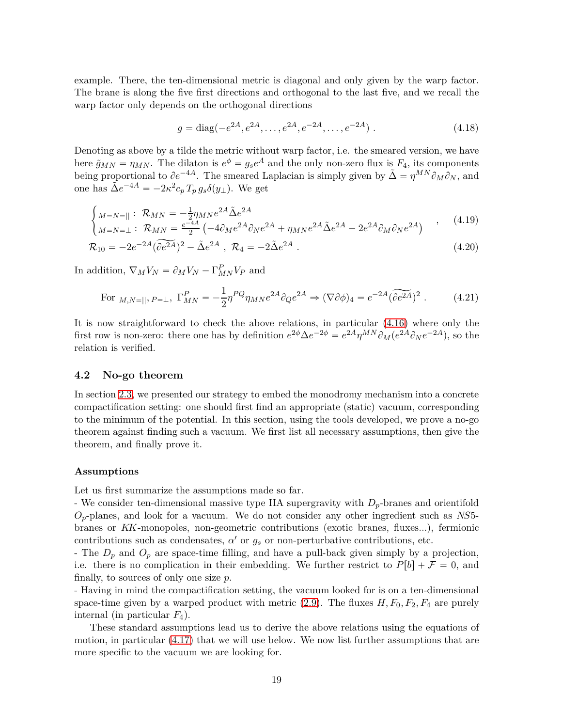example. There, the ten-dimensional metric is diagonal and only given by the warp factor. The brane is along the five first directions and orthogonal to the last five, and we recall the warp factor only depends on the orthogonal directions

$$
g = \text{diag}(-e^{2A}, e^{2A}, \dots, e^{2A}, e^{-2A}, \dots, e^{-2A})
$$
 (4.18)

Denoting as above by a tilde the metric without warp factor, i.e. the smeared version, we have here  $\tilde{g}_{MN} = \eta_{MN}$ . The dilaton is  $e^{\phi} = g_s e^A$  and the only non-zero flux is  $F_4$ , its components being proportional to  $\partial e^{-4A}$ . The smeared Laplacian is simply given by  $\tilde{\Delta} = \eta^{MN} \partial_M \partial_N$ , and one has  $\tilde{\Delta}e^{-4A} = -2\kappa^2 c_p T_p g_s \delta(y_\perp)$ . We get

$$
\begin{cases}\nM = N = ||\ \colon \mathcal{R}_{MN} = -\frac{1}{2}\eta_{MN}e^{2A}\tilde{\Delta}e^{2A} \\
M = N = \bot : \ \mathcal{R}_{MN} = \frac{e^{-4A}}{2}\left(-4\partial_M e^{2A}\partial_N e^{2A} + \eta_{MN}e^{2A}\tilde{\Delta}e^{2A} - 2e^{2A}\partial_M \partial_N e^{2A}\right)\n\end{cases} (4.19)
$$

$$
\mathcal{R}_{10} = -2e^{-2A}(\widetilde{\partial e^{2A}})^2 - \tilde{\Delta}e^{2A} , \ \mathcal{R}_4 = -2\tilde{\Delta}e^{2A} . \tag{4.20}
$$

In addition,  $\nabla_M V_N = \partial_M V_N - \Gamma^P_{MN} V_P$  and

<span id="page-18-1"></span>For 
$$
M, N=||
$$
,  $P=\perp$ ,  $\Gamma_{MN}^P = -\frac{1}{2} \eta^{PQ} \eta_{MN} e^{2A} \partial_Q e^{2A} \Rightarrow (\nabla \partial \phi)_4 = e^{-2A} (\widetilde{\partial e^{2A}})^2$ . (4.21)

It is now straightforward to check the above relations, in particular [\(4.16\)](#page-17-3) where only the first row is non-zero: there one has by definition  $e^{2\phi} \Delta e^{-2\phi} = e^{2A} \eta^{MN} \partial_M (e^{2A} \partial_N e^{-2A})$ , so the relation is verified.

### <span id="page-18-0"></span>**4.2 No-go theorem**

In section [2.3,](#page-6-0) we presented our strategy to embed the monodromy mechanism into a concrete compactification setting: one should first find an appropriate (static) vacuum, corresponding to the minimum of the potential. In this section, using the tools developed, we prove a no-go theorem against finding such a vacuum. We first list all necessary assumptions, then give the theorem, and finally prove it.

#### **Assumptions**

Let us first summarize the assumptions made so far.

- We consider ten-dimensional massive type IIA supergravity with *Dp*-branes and orientifold *Op*-planes, and look for a vacuum. We do not consider any other ingredient such as *NS*5 branes or *KK*-monopoles, non-geometric contributions (exotic branes, fluxes...), fermionic contributions such as condensates,  $\alpha'$  or  $g_s$  or non-perturbative contributions, etc.

- The  $D_p$  and  $O_p$  are space-time filling, and have a pull-back given simply by a projection, i.e. there is no complication in their embedding. We further restrict to  $P[b] + \mathcal{F} = 0$ , and finally, to sources of only one size *p*.

- Having in mind the compactification setting, the vacuum looked for is on a ten-dimensional space-time given by a warped product with metric  $(2.9)$ . The fluxes  $H, F_0, F_2, F_4$  are purely internal (in particular  $F_4$ ).

These standard assumptions lead us to derive the above relations using the equations of motion, in particular [\(4.17\)](#page-17-0) that we will use below. We now list further assumptions that are more specific to the vacuum we are looking for.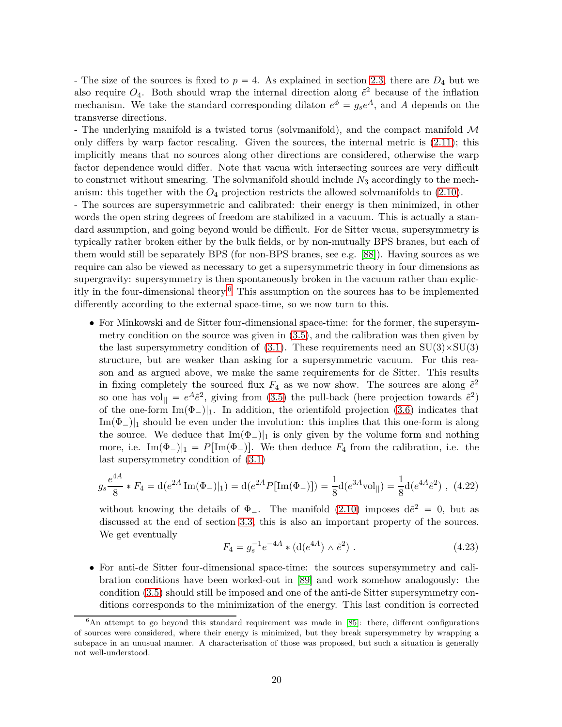- The size of the sources is fixed to  $p = 4$ . As explained in section [2.3,](#page-6-0) there are  $D_4$  but we also require  $O_4$ . Both should wrap the internal direction along  $\tilde{e}^2$  because of the inflation mechanism. We take the standard corresponding dilaton  $e^{\phi} = g_s e^A$ , and A depends on the transverse directions.

- The underlying manifold is a twisted torus (solvmanifold), and the compact manifold M only differs by warp factor rescaling. Given the sources, the internal metric is  $(2.11)$ ; this implicitly means that no sources along other directions are considered, otherwise the warp factor dependence would differ. Note that vacua with intersecting sources are very difficult to construct without smearing. The solvmanifold should include *N*3 accordingly to the mechanism: this together with the *O*4 projection restricts the allowed solvmanifolds to [\(2.10\)](#page-7-0).

- The sources are supersymmetric and calibrated: their energy is then minimized, in other words the open string degrees of freedom are stabilized in a vacuum. This is actually a standard assumption, and going beyond would be difficult. For de Sitter vacua, supersymmetry is typically rather broken either by the bulk fields, or by non-mutually BPS branes, but each of them would still be separately BPS (for non-BPS branes, see e.g. [\[88\]](#page-31-2)). Having sources as we require can also be viewed as necessary to get a supersymmetric theory in four dimensions as supergravity: supersymmetry is then spontaneously broken in the vacuum rather than explic-itly in the four-dimensional theory.<sup>[6](#page-19-0)</sup> This assumption on the sources has to be implemented differently according to the external space-time, so we now turn to this.

• For Minkowski and de Sitter four-dimensional space-time: for the former, the supersymmetry condition on the source was given in [\(3.5\)](#page-8-7), and the calibration was then given by the last supersymmetry condition of [\(3.1\)](#page-8-6). These requirements need an  $SU(3) \times SU(3)$ structure, but are weaker than asking for a supersymmetric vacuum. For this reason and as argued above, we make the same requirements for de Sitter. This results in fixing completely the sourced flux  $F_4$  as we now show. The sources are along  $\tilde{e}^2$ so one has vol<sub>||</sub> =  $e^{A} \tilde{e}^{2}$ , giving from [\(3.5\)](#page-8-7) the pull-back (here projection towards  $\tilde{e}^{2}$ ) of the one-form  $\text{Im}(\Phi_-)|_1$ . In addition, the orientifold projection [\(3.6\)](#page-9-0) indicates that  $\text{Im}(\Phi_{-})|_{1}$  should be even under the involution: this implies that this one-form is along the source. We deduce that  $\text{Im}(\Phi_-)|_1$  is only given by the volume form and nothing more, i.e.  $\text{Im}(\Phi_-)|_1 = P[\text{Im}(\Phi_-)]$ . We then deduce  $F_4$  from the calibration, i.e. the last supersymmetry condition of [\(3.1\)](#page-8-6)

$$
g_s \frac{e^{4A}}{8} * F_4 = d(e^{2A} \operatorname{Im}(\Phi_-)|_1) = d(e^{2A} P[\operatorname{Im}(\Phi_-)]) = \frac{1}{8} d(e^{3A} \operatorname{vol}_{||}) = \frac{1}{8} d(e^{4A} \tilde{e}^2) , (4.22)
$$

without knowing the details of  $\Phi_{-}$ . The manifold [\(2.10\)](#page-7-0) imposes  $d\tilde{e}^2 = 0$ , but as discussed at the end of section [3.3,](#page-13-0) this is also an important property of the sources. We get eventually

<span id="page-19-1"></span>
$$
F_4 = g_s^{-1} e^{-4A} * (\text{d}(e^{4A}) \wedge \tilde{e}^2) . \tag{4.23}
$$

• For anti-de Sitter four-dimensional space-time: the sources supersymmetry and calibration conditions have been worked-out in [\[89\]](#page-31-3) and work somehow analogously: the condition [\(3.5\)](#page-8-7) should still be imposed and one of the anti-de Sitter supersymmetry conditions corresponds to the minimization of the energy. This last condition is corrected

<span id="page-19-0"></span> $6$ An attempt to go beyond this standard requirement was made in [\[85\]](#page-30-17): there, different configurations of sources were considered, where their energy is minimized, but they break supersymmetry by wrapping a subspace in an unusual manner. A characterisation of those was proposed, but such a situation is generally not well-understood.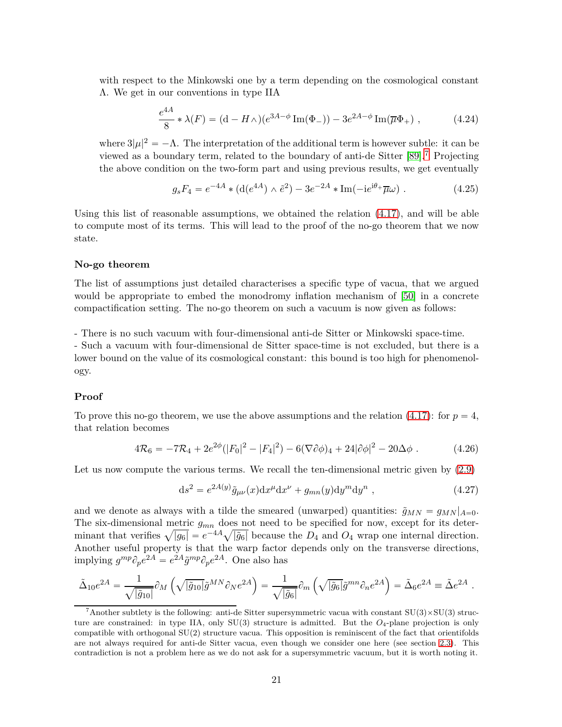with respect to the Minkowski one by a term depending on the cosmological constant Λ. We get in our conventions in type IIA

$$
\frac{e^{4A}}{8} * \lambda(F) = (d - H \wedge)(e^{3A - \phi} \operatorname{Im}(\Phi_{-})) - 3e^{2A - \phi} \operatorname{Im}(\overline{\mu}\Phi_{+}), \qquad (4.24)
$$

where  $3|\mu|^2 = -\Lambda$ . The interpretation of the additional term is however subtle: it can be viewed as a boundary term, related to the boundary of anti-de Sitter [\[89\]](#page-31-3).[7](#page-20-1) Projecting the above condition on the two-form part and using previous results, we get eventually

<span id="page-20-2"></span>
$$
g_s F_4 = e^{-4A} * (d(e^{4A}) \wedge \tilde{e}^2) - 3e^{-2A} * \text{Im}(-ie^{i\theta_+}\overline{\mu}\omega) . \qquad (4.25)
$$

Using this list of reasonable assumptions, we obtained the relation  $(4.17)$ , and will be able to compute most of its terms. This will lead to the proof of the no-go theorem that we now state.

#### **No-go theorem**

The list of assumptions just detailed characterises a specific type of vacua, that we argued would be appropriate to embed the monodromy inflation mechanism of [\[50\]](#page-29-0) in a concrete compactification setting. The no-go theorem on such a vacuum is now given as follows:

- There is no such vacuum with four-dimensional anti-de Sitter or Minkowski space-time.

- Such a vacuum with four-dimensional de Sitter space-time is not excluded, but there is a lower bound on the value of its cosmological constant: this bound is too high for phenomenology.

### **Proof**

To prove this no-go theorem, we use the above assumptions and the relation  $(4.17)$ : for  $p = 4$ , that relation becomes

<span id="page-20-0"></span>
$$
4\mathcal{R}_6 = -7\mathcal{R}_4 + 2e^{2\phi}(|F_0|^2 - |F_4|^2) - 6(\nabla\partial\phi)_4 + 24|\partial\phi|^2 - 20\Delta\phi.
$$
 (4.26)

Let us now compute the various terms. We recall the ten-dimensional metric given by  $(2.9)$ 

$$
ds^{2} = e^{2A(y)}\tilde{g}_{\mu\nu}(x)dx^{\mu}dx^{\nu} + g_{mn}(y)dy^{m}dy^{n} , \qquad (4.27)
$$

and we denote as always with a tilde the smeared (unwarped) quantities:  $\tilde{g}_{MN} = g_{MN}|_{A=0}$ . The six-dimensional metric *gmn* does not need to be specified for now, except for its determinant that verifies  $\sqrt{|g_6|} = e^{-4A} \sqrt{|\tilde{g}_6|}$  because the  $D_4$  and  $O_4$  wrap one internal direction. Another useful property is that the warp factor depends only on the transverse directions,  $\text{implying } g^{mp} \partial_p e^{2A} = e^{2A} \tilde{g}^{mp} \partial_p e^{2A}.$  One also has

$$
\tilde{\Delta}_{10}e^{2A} = \frac{1}{\sqrt{|\tilde{g}_{10}|}} \partial_M \left( \sqrt{|\tilde{g}_{10}|} \tilde{g}^{MN} \partial_N e^{2A} \right) = \frac{1}{\sqrt{|\tilde{g}_6|}} \partial_m \left( \sqrt{|\tilde{g}_6|} \tilde{g}^{mn} \partial_n e^{2A} \right) = \tilde{\Delta}_6 e^{2A} \equiv \tilde{\Delta} e^{2A} .
$$

<span id="page-20-1"></span><sup>&</sup>lt;sup>7</sup>Another subtlety is the following: anti-de Sitter supersymmetric vacua with constant  $SU(3) \times SU(3)$  structure are constrained: in type IIA, only SU(3) structure is admitted. But the *O*4-plane projection is only compatible with orthogonal SU(2) structure vacua. This opposition is reminiscent of the fact that orientifolds are not always required for anti-de Sitter vacua, even though we consider one here (see section [2.3\)](#page-6-0). This contradiction is not a problem here as we do not ask for a supersymmetric vacuum, but it is worth noting it.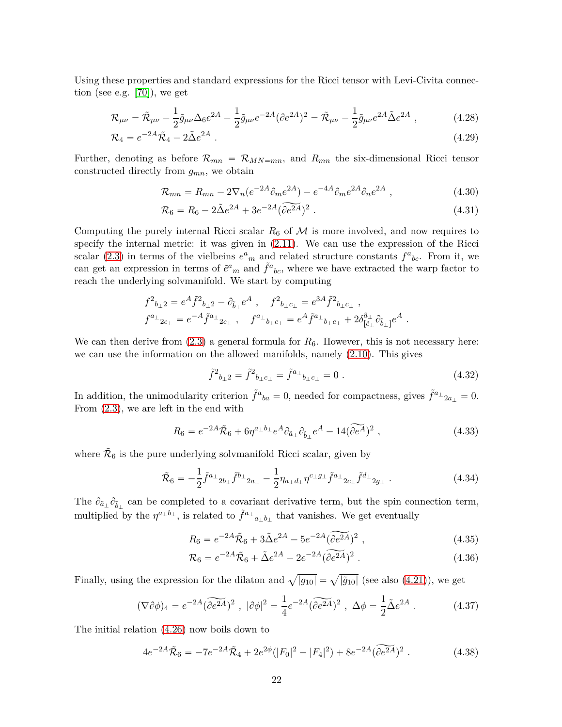Using these properties and standard expressions for the Ricci tensor with Levi-Civita connection (see e.g. [\[70\]](#page-30-2)), we get

$$
\mathcal{R}_{\mu\nu} = \tilde{\mathcal{R}}_{\mu\nu} - \frac{1}{2}\tilde{g}_{\mu\nu}\Delta_6 e^{2A} - \frac{1}{2}\tilde{g}_{\mu\nu}e^{-2A}(\partial e^{2A})^2 = \tilde{\mathcal{R}}_{\mu\nu} - \frac{1}{2}\tilde{g}_{\mu\nu}e^{2A}\tilde{\Delta}e^{2A} ,\qquad (4.28)
$$

$$
\mathcal{R}_4 = e^{-2A}\tilde{\mathcal{R}}_4 - 2\tilde{\Delta}e^{2A} \tag{4.29}
$$

Further, denoting as before  $\mathcal{R}_{mn} = \mathcal{R}_{MN=mn}$ , and  $R_{mn}$  the six-dimensional Ricci tensor constructed directly from *gmn*, we obtain

$$
\mathcal{R}_{mn} = R_{mn} - 2\nabla_n(e^{-2A}\partial_m e^{2A}) - e^{-4A}\partial_m e^{2A}\partial_n e^{2A} \,, \tag{4.30}
$$

$$
\mathcal{R}_6 = R_6 - 2\tilde{\Delta}e^{2A} + 3e^{-2A}(\tilde{\partial}e^{2A})^2 \ . \tag{4.31}
$$

Computing the purely internal Ricci scalar  $R_6$  of  $\mathcal M$  is more involved, and now requires to specify the internal metric: it was given in [\(2.11\)](#page-7-1). We can use the expression of the Ricci scalar [\(2.3\)](#page-4-2) in terms of the vielbeins  $e^a{}_m$  and related structure constants  $f^a{}_{bc}$ . From it, we can get an expression in terms of  $\tilde{e}^a{}_m$  and  $\tilde{f}^a{}_{bc}$ , where we have extracted the warp factor to reach the underlying solvmanifold. We start by computing

$$
\begin{split} f^2{}_{b_\perp 2} &= e^A \tilde f^2{}_{b_\perp 2} - \partial_{\tilde b_\perp} e^A \ , \quad f^2{}_{b_\perp c_\perp} = e^{3A} \tilde f^2{}_{b_\perp c_\perp} \ , \\ f^{a_\perp}{}_{2c_\perp} &= e^{-A} \tilde f^{a_\perp}{}_{2c_\perp} \ , \quad f^{a_\perp}{}_{b_\perp c_\perp} = e^A \tilde f^{a_\perp}{}_{b_\perp c_\perp} + 2 \delta^{\tilde a_\perp}_{[\tilde c_\perp} \partial_{\tilde b_\perp]} e^A \ . \end{split}
$$

We can then derive from  $(2.3)$  a general formula for  $R_6$ . However, this is not necessary here: we can use the information on the allowed manifolds, namely [\(2.10\)](#page-7-0). This gives

$$
\tilde{f}^2{}_{b\perp 2} = \tilde{f}^2{}_{b\perp c\perp} = \tilde{f}^{a\perp}{}_{b\perp c\perp} = 0 \tag{4.32}
$$

In addition, the unimodularity criterion  $\tilde{f}^a{}_{ba} = 0$ , needed for compactness, gives  $\tilde{f}^{a_\perp}{}_{2a_\perp} = 0$ . From [\(2.3\)](#page-4-2), we are left in the end with

$$
R_6 = e^{-2A}\tilde{\mathcal{R}}_6 + 6\eta^{a_\perp b_\perp}e^A\partial_{\tilde{a}_\perp}\partial_{\tilde{b}_\perp}e^A - 14(\widetilde{\partial e^A})^2 \;, \tag{4.33}
$$

where  $\tilde{\mathcal{R}}_6$  is the pure underlying solvmanifold Ricci scalar, given by

<span id="page-21-1"></span>
$$
\tilde{\mathcal{R}}_6 = -\frac{1}{2} \tilde{f}^{a_\perp}{}_{2b_\perp} \tilde{f}^{b_\perp}{}_{2a_\perp} - \frac{1}{2} \eta_{a_\perp d_\perp} \eta^{c_\perp g_\perp} \tilde{f}^{a_\perp}{}_{2c_\perp} \tilde{f}^{d_\perp}{}_{2g_\perp} \tag{4.34}
$$

The  $\partial_{\tilde{a}_\perp}\partial_{\tilde{b}_\perp}$  can be completed to a covariant derivative term, but the spin connection term, multiplied by the  $\eta^{a_\perp b_\perp}$ , is related to  $\tilde{f}^{a_\perp}{}_{a_\perp b_\perp}$  that vanishes. We get eventually

$$
R_6 = e^{-2A}\tilde{\mathcal{R}}_6 + 3\tilde{\Delta}e^{2A} - 5e^{-2A}(\tilde{\partial}e^{2A})^2 , \qquad (4.35)
$$

$$
\mathcal{R}_6 = e^{-2A}\tilde{\mathcal{R}}_6 + \tilde{\Delta}e^{2A} - 2e^{-2A}(\tilde{\partial}e^{2A})^2.
$$
 (4.36)

Finally, using the expression for the dilaton and  $\sqrt{|g_{10}|} = \sqrt{|\tilde{g}_{10}|}$  (see also [\(4.21\)](#page-18-1)), we get

$$
(\nabla \partial \phi)_4 = e^{-2A} (\widetilde{\partial e^{2A}})^2 \ , \ |\partial \phi|^2 = \frac{1}{4} e^{-2A} (\widetilde{\partial e^{2A}})^2 \ , \ \Delta \phi = \frac{1}{2} \tilde{\Delta} e^{2A} \ . \tag{4.37}
$$

The initial relation [\(4.26\)](#page-20-0) now boils down to

<span id="page-21-0"></span>
$$
4e^{-2A}\tilde{\mathcal{R}}_6 = -7e^{-2A}\tilde{\mathcal{R}}_4 + 2e^{2\phi}(|F_0|^2 - |F_4|^2) + 8e^{-2A}(\widetilde{\partial e^{2A}})^2.
$$
 (4.38)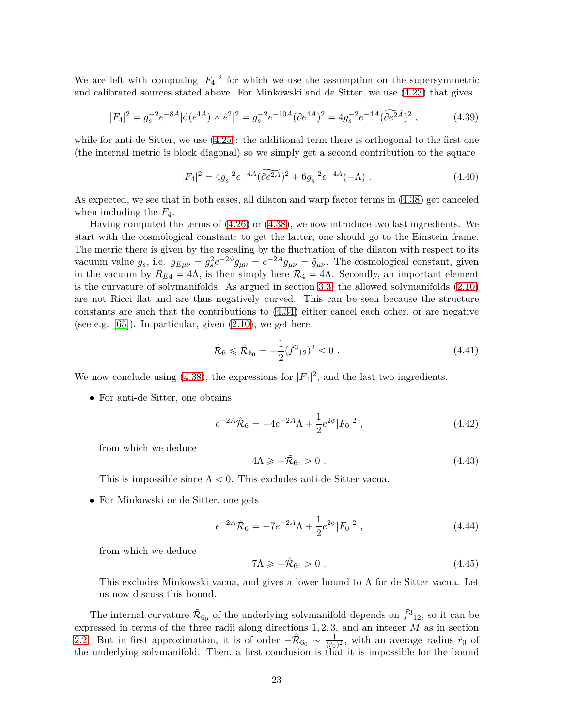We are left with computing  $|F_4|^2$  for which we use the assumption on the supersymmetric and calibrated sources stated above. For Minkowski and de Sitter, we use [\(4.23\)](#page-19-1) that gives

$$
|F_4|^2 = g_s^{-2} e^{-8A} |d(e^{4A}) \wedge \tilde{e}^2|^2 = g_s^{-2} e^{-10A} (\partial e^{4A})^2 = 4g_s^{-2} e^{-4A} (\partial \tilde{e^{2A}})^2 , \qquad (4.39)
$$

while for anti-de Sitter, we use  $(4.25)$ : the additional term there is orthogonal to the first one (the internal metric is block diagonal) so we simply get a second contribution to the square

$$
|F_4|^2 = 4g_s^{-2}e^{-4A}(\widetilde{\partial e^{2A}})^2 + 6g_s^{-2}e^{-4A}(-\Lambda) . \tag{4.40}
$$

As expected, we see that in both cases, all dilaton and warp factor terms in [\(4.38\)](#page-21-0) get canceled when including the *F*4.

Having computed the terms of [\(4.26\)](#page-20-0) or [\(4.38\)](#page-21-0), we now introduce two last ingredients. We start with the cosmological constant: to get the latter, one should go to the Einstein frame. The metric there is given by the rescaling by the fluctuation of the dilaton with respect to its vacuum value  $g_s$ , i.e.  $g_{E\mu\nu} = g_s^2$  $\int_{s}^{2} e^{-2\phi} g_{\mu\nu} = e^{-2A} g_{\mu\nu} = \tilde{g}_{\mu\nu}$ . The cosmological constant, given in the vacuum by  $R_{E4} = 4\Lambda$ , is then simply here  $\tilde{R}_4 = 4\Lambda$ . Secondly, an important element is the curvature of solvmanifolds. As argued in section [3.3,](#page-13-0) the allowed solvmanifolds [\(2.10\)](#page-7-0) are not Ricci flat and are thus negatively curved. This can be seen because the structure constants are such that the contributions to [\(4.34\)](#page-21-1) either cancel each other, or are negative (see e.g.  $[65]$ ). In particular, given  $(2.10)$ , we get here

$$
\tilde{\mathcal{R}}_6 \leq \tilde{\mathcal{R}}_{6_0} = -\frac{1}{2} (\tilde{f}^3_{12})^2 < 0 \tag{4.41}
$$

We now conclude using  $(4.38)$ , the expressions for  $|F_4|^2$ , and the last two ingredients.

• For anti-de Sitter, one obtains

$$
e^{-2A}\tilde{\mathcal{R}}_6 = -4e^{-2A}\Lambda + \frac{1}{2}e^{2\phi}|F_0|^2 , \qquad (4.42)
$$

from which we deduce

$$
4\Lambda \geqslant -\tilde{\mathcal{R}}_{6_0} > 0 \tag{4.43}
$$

This is impossible since  $\Lambda < 0$ . This excludes anti-de Sitter vacua.

• For Minkowski or de Sitter, one gets

$$
e^{-2A}\tilde{\mathcal{R}}_6 = -7e^{-2A}\Lambda + \frac{1}{2}e^{2\phi}|F_0|^2 \,,\tag{4.44}
$$

from which we deduce

<span id="page-22-0"></span>
$$
7\Lambda \geqslant -\tilde{\mathcal{R}}_{6_0} > 0 \tag{4.45}
$$

This excludes Minkowski vacua, and gives a lower bound to  $\Lambda$  for de Sitter vacua. Let us now discuss this bound.

The internal curvature  $\tilde{\mathcal{R}}_{60}$  of the underlying solvmanifold depends on  $\tilde{f}^3{}_{12}$ , so it can be expressed in terms of the three radii along directions 1*,* 2*,* 3, and an integer *M* as in section [2.2.](#page-5-0) But in first approximation, it is of order  $-\tilde{\mathcal{R}}_{60} \sim \frac{1}{(\tilde{r}_0)^2}$ , with an average radius  $\tilde{r}_0$  of the underlying solvmanifold. Then, a first conclusion is that it is impossible for the bound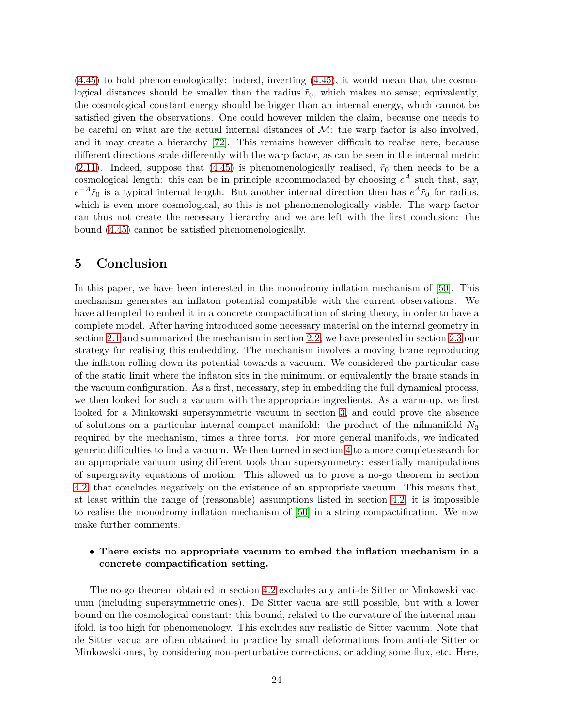[\(4.45\)](#page-22-0) to hold phenomenologically: indeed, inverting [\(4.45\)](#page-22-0), it would mean that the cosmological distances should be smaller than the radius  $\tilde{r}_0$ , which makes no sense; equivalently, the cosmological constant energy should be bigger than an internal energy, which cannot be satisfied given the observations. One could however milden the claim, because one needs to be careful on what are the actual internal distances of  $\mathcal{M}$ : the warp factor is also involved, and it may create a hierarchy [\[72\]](#page-30-4). This remains however difficult to realise here, because different directions scale differently with the warp factor, as can be seen in the internal metric  $(2.11)$ . Indeed, suppose that  $(4.45)$  is phenomenologically realised,  $\tilde{r}_0$  then needs to be a cosmological length: this can be in principle accommodated by choosing  $e^A$  such that, say,  $e^{-A}\tilde{r}_0$  is a typical internal length. But another internal direction then has  $e^{A}\tilde{r}_0$  for radius, which is even more cosmological, so this is not phenomenologically viable. The warp factor can thus not create the necessary hierarchy and we are left with the first conclusion: the bound [\(4.45\)](#page-22-0) cannot be satisfied phenomenologically.

# <span id="page-23-0"></span>**5 Conclusion**

In this paper, we have been interested in the monodromy inflation mechanism of [\[50\]](#page-29-0). This mechanism generates an inflaton potential compatible with the current observations. We have attempted to embed it in a concrete compactification of string theory, in order to have a complete model. After having introduced some necessary material on the internal geometry in section [2.1](#page-4-1) and summarized the mechanism in section [2.2,](#page-5-0) we have presented in section [2.3](#page-6-0) our strategy for realising this embedding. The mechanism involves a moving brane reproducing the inflaton rolling down its potential towards a vacuum. We considered the particular case of the static limit where the inflaton sits in the minimum, or equivalently the brane stands in the vacuum configuration. As a first, necessary, step in embedding the full dynamical process, we then looked for such a vacuum with the appropriate ingredients. As a warm-up, we first looked for a Minkowski supersymmetric vacuum in section [3,](#page-8-0) and could prove the absence of solutions on a particular internal compact manifold: the product of the nilmanifold *N*3 required by the mechanism, times a three torus. For more general manifolds, we indicated generic difficulties to find a vacuum. We then turned in section [4](#page-15-0) to a more complete search for an appropriate vacuum using different tools than supersymmetry: essentially manipulations of supergravity equations of motion. This allowed us to prove a no-go theorem in section [4.2,](#page-18-0) that concludes negatively on the existence of an appropriate vacuum. This means that, at least within the range of (reasonable) assumptions listed in section [4.2,](#page-18-0) it is impossible to realise the monodromy inflation mechanism of [\[50\]](#page-29-0) in a string compactification. We now make further comments.

### • **There exists no appropriate vacuum to embed the inflation mechanism in a concrete compactification setting.**

The no-go theorem obtained in section [4.2](#page-18-0) excludes any anti-de Sitter or Minkowski vacuum (including supersymmetric ones). De Sitter vacua are still possible, but with a lower bound on the cosmological constant: this bound, related to the curvature of the internal manifold, is too high for phenomenology. This excludes any realistic de Sitter vacuum. Note that de Sitter vacua are often obtained in practice by small deformations from anti-de Sitter or Minkowski ones, by considering non-perturbative corrections, or adding some flux, etc. Here,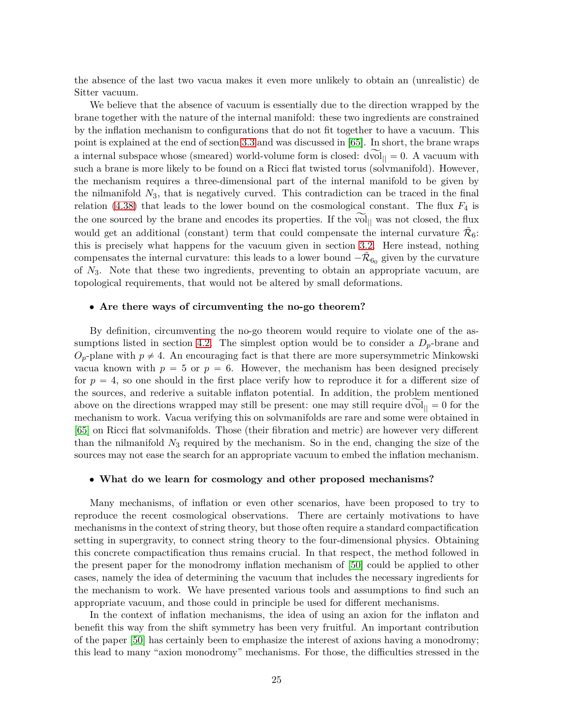the absence of the last two vacua makes it even more unlikely to obtain an (unrealistic) de Sitter vacuum.

We believe that the absence of vacuum is essentially due to the direction wrapped by the brane together with the nature of the internal manifold: these two ingredients are constrained by the inflation mechanism to configurations that do not fit together to have a vacuum. This point is explained at the end of section [3.3](#page-13-0) and was discussed in [\[65\]](#page-29-15). In short, the brane wraps a internal subspace whose (smeared) world-volume form is closed:  $\overrightarrow{dvol}_{\parallel} = 0$ . A vacuum with such a brane is more likely to be found on a Ricci flat twisted torus (solvmanifold). However, the mechanism requires a three-dimensional part of the internal manifold to be given by the nilmanifold *N*3, that is negatively curved. This contradiction can be traced in the final relation  $(4.38)$  that leads to the lower bound on the cosmological constant. The flux  $F_4$  is the one sourced by the brane and encodes its properties. If the vol<sub> $||$ </sub> was not closed, the flux would get an additional (constant) term that could compensate the internal curvature  $\tilde{\mathcal{R}}_6$ : this is precisely what happens for the vacuum given in section [3.2.](#page-10-0) Here instead, nothing compensates the internal curvature: this leads to a lower bound  $-\tilde{\mathcal{R}}_{60}$  given by the curvature of *N*3. Note that these two ingredients, preventing to obtain an appropriate vacuum, are topological requirements, that would not be altered by small deformations.

#### • **Are there ways of circumventing the no-go theorem?**

By definition, circumventing the no-go theorem would require to violate one of the as-sumptions listed in section [4.2.](#page-18-0) The simplest option would be to consider a  $D_p$ -brane and  $O_p$ -plane with  $p \neq 4$ . An encouraging fact is that there are more supersymmetric Minkowski vacua known with  $p = 5$  or  $p = 6$ . However, the mechanism has been designed precisely for  $p = 4$ , so one should in the first place verify how to reproduce it for a different size of the sources, and rederive a suitable inflaton potential. In addition, the problem mentioned above on the directions wrapped may still be present: one may still require dvol $_{\parallel} = 0$  for the mechanism to work. Vacua verifying this on solvmanifolds are rare and some were obtained in [\[65\]](#page-29-15) on Ricci flat solvmanifolds. Those (their fibration and metric) are however very different than the nilmanifold *N*3 required by the mechanism. So in the end, changing the size of the sources may not ease the search for an appropriate vacuum to embed the inflation mechanism.

#### • **What do we learn for cosmology and other proposed mechanisms?**

Many mechanisms, of inflation or even other scenarios, have been proposed to try to reproduce the recent cosmological observations. There are certainly motivations to have mechanisms in the context of string theory, but those often require a standard compactification setting in supergravity, to connect string theory to the four-dimensional physics. Obtaining this concrete compactification thus remains crucial. In that respect, the method followed in the present paper for the monodromy inflation mechanism of [\[50\]](#page-29-0) could be applied to other cases, namely the idea of determining the vacuum that includes the necessary ingredients for the mechanism to work. We have presented various tools and assumptions to find such an appropriate vacuum, and those could in principle be used for different mechanisms.

In the context of inflation mechanisms, the idea of using an axion for the inflaton and benefit this way from the shift symmetry has been very fruitful. An important contribution of the paper [\[50\]](#page-29-0) has certainly been to emphasize the interest of axions having a monodromy; this lead to many "axion monodromy" mechanisms. For those, the difficulties stressed in the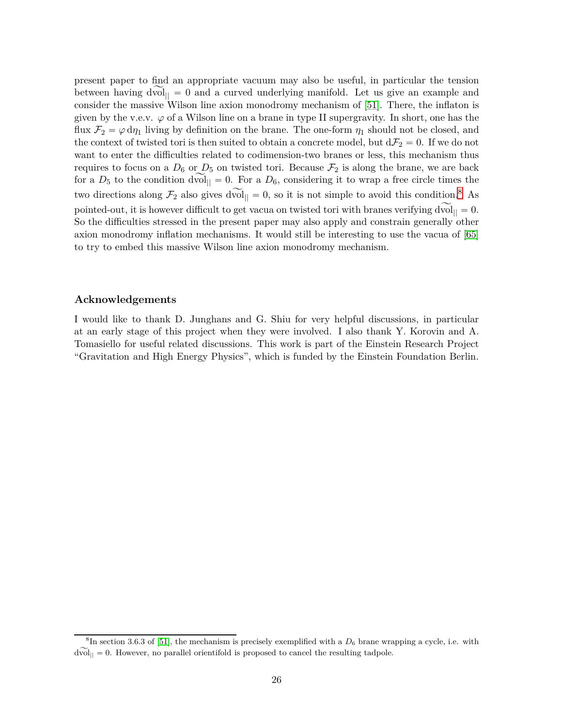present paper to find an appropriate vacuum may also be useful, in particular the tension between having  $dvol_{\parallel} = 0$  and a curved underlying manifold. Let us give an example and consider the massive Wilson line axion monodromy mechanism of [\[51\]](#page-29-1). There, the inflaton is given by the v.e.v.  $\varphi$  of a Wilson line on a brane in type II supergravity. In short, one has the flux  $\mathcal{F}_2 = \varphi \, d\eta_1$  living by definition on the brane. The one-form  $\eta_1$  should not be closed, and the context of twisted tori is then suited to obtain a concrete model, but  $d\mathcal{F}_2 = 0$ . If we do not want to enter the difficulties related to codimension-two branes or less, this mechanism thus requires to focus on a  $D_6$  or  $D_5$  on twisted tori. Because  $\mathcal{F}_2$  is along the brane, we are back for a  $D_5$  to the condition dvol<sub> $|| = 0$ </sub>. For a  $D_6$ , considering it to wrap a free circle times the two directions along  $\mathcal{F}_2$  also gives dvol<sub> $|| = 0$ </sub>, so it is not simple to avoid this condition.<sup>[8](#page-25-0)</sup> As pointed-out, it is however difficult to get vacua on twisted tori with branes verifying  $dvol_{\parallel} = 0$ . So the difficulties stressed in the present paper may also apply and constrain generally other axion monodromy inflation mechanisms. It would still be interesting to use the vacua of [\[65\]](#page-29-15) to try to embed this massive Wilson line axion monodromy mechanism.

### **Acknowledgements**

I would like to thank D. Junghans and G. Shiu for very helpful discussions, in particular at an early stage of this project when they were involved. I also thank Y. Korovin and A. Tomasiello for useful related discussions. This work is part of the Einstein Research Project "Gravitation and High Energy Physics", which is funded by the Einstein Foundation Berlin.

<span id="page-25-0"></span> ${}^{8}$ In section 3.6.3 of [\[51\]](#page-29-1), the mechanism is precisely exemplified with a  $D_6$  brane wrapping a cycle, i.e. with  $d\widetilde{\text{vol}}_{\parallel} = 0$ . However, no parallel orientifold is proposed to cancel the resulting tadpole.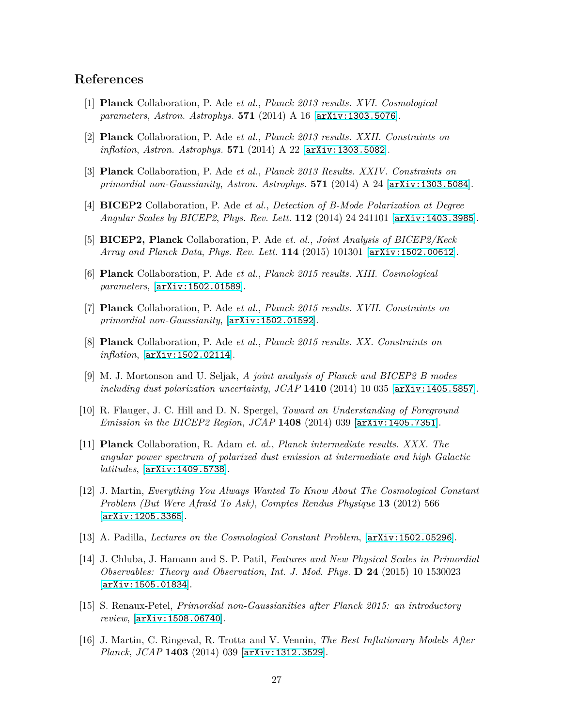### <span id="page-26-0"></span>**References**

- <span id="page-26-1"></span>[1] **Planck** Collaboration, P. Ade *et al.*, *Planck 2013 results. XVI. Cosmological parameters*, *Astron. Astrophys.* **571** (2014) A 16 [[arXiv:1303.5076](http://arxiv.org/abs/1303.5076)].
- <span id="page-26-2"></span>[2] **Planck** Collaboration, P. Ade *et al.*, *Planck 2013 results. XXII. Constraints on inflation*, *Astron. Astrophys.* **571** (2014) A 22 [[arXiv:1303.5082](http://arxiv.org/abs/1303.5082)].
- <span id="page-26-3"></span>[3] **Planck** Collaboration, P. Ade *et al.*, *Planck 2013 Results. XXIV. Constraints on primordial non-Gaussianity*, *Astron. Astrophys.* **571** (2014) A 24 [[arXiv:1303.5084](http://arxiv.org/abs/1303.5084)].
- <span id="page-26-4"></span>[4] **BICEP2** Collaboration, P. Ade *et al.*, *Detection of B-Mode Polarization at Degree Angular Scales by BICEP2*, *Phys. Rev. Lett.* **112** (2014) 24 241101 [[arXiv:1403.3985](http://arxiv.org/abs/1403.3985)].
- <span id="page-26-5"></span>[5] **BICEP2, Planck** Collaboration, P. Ade *et. al.*, *Joint Analysis of BICEP2/Keck Array and Planck Data*, *Phys. Rev. Lett.* **114** (2015) 101301 [[arXiv:1502.00612](http://arxiv.org/abs/1502.00612)].
- [6] **Planck** Collaboration, P. Ade *et al.*, *Planck 2015 results. XIII. Cosmological parameters*, [[arXiv:1502.01589](http://arxiv.org/abs/1502.01589)].
- <span id="page-26-6"></span>[7] **Planck** Collaboration, P. Ade *et al.*, *Planck 2015 results. XVII. Constraints on primordial non-Gaussianity*, [[arXiv:1502.01592](http://arxiv.org/abs/1502.01592)].
- <span id="page-26-8"></span><span id="page-26-7"></span>[8] **Planck** Collaboration, P. Ade *et al.*, *Planck 2015 results. XX. Constraints on inflation*, [[arXiv:1502.02114](http://arxiv.org/abs/1502.02114)].
- [9] M. J. Mortonson and U. Seljak, *A joint analysis of Planck and BICEP2 B modes including dust polarization uncertainty*, *JCAP* **1410** (2014) 10 035 [[arXiv:1405.5857](http://arxiv.org/abs/1405.5857)].
- <span id="page-26-9"></span>[10] R. Flauger, J. C. Hill and D. N. Spergel, *Toward an Understanding of Foreground Emission in the BICEP2 Region*, *JCAP* **1408** (2014) 039 [[arXiv:1405.7351](http://arxiv.org/abs/1405.7351)].
- <span id="page-26-10"></span>[11] **Planck** Collaboration, R. Adam *et. al.*, *Planck intermediate results. XXX. The angular power spectrum of polarized dust emission at intermediate and high Galactic latitudes*, [[arXiv:1409.5738](http://arxiv.org/abs/1409.5738)].
- <span id="page-26-11"></span>[12] J. Martin, *Everything You Always Wanted To Know About The Cosmological Constant Problem (But Were Afraid To Ask)*, *Comptes Rendus Physique* **13** (2012) 566 [[arXiv:1205.3365](http://arxiv.org/abs/1205.3365)].
- <span id="page-26-13"></span><span id="page-26-12"></span>[13] A. Padilla, *Lectures on the Cosmological Constant Problem*, [[arXiv:1502.05296](http://arxiv.org/abs/1502.05296)].
- [14] J. Chluba, J. Hamann and S. P. Patil, *Features and New Physical Scales in Primordial Observables: Theory and Observation*, *Int. J. Mod. Phys.* **D 24** (2015) 10 1530023 [[arXiv:1505.01834](http://arxiv.org/abs/1505.01834)].
- <span id="page-26-14"></span>[15] S. Renaux-Petel, *Primordial non-Gaussianities after Planck 2015: an introductory review*, [[arXiv:1508.06740](http://arxiv.org/abs/1508.06740)].
- <span id="page-26-15"></span>[16] J. Martin, C. Ringeval, R. Trotta and V. Vennin, *The Best Inflationary Models After Planck*, *JCAP* **1403** (2014) 039 [[arXiv:1312.3529](http://arxiv.org/abs/1312.3529)].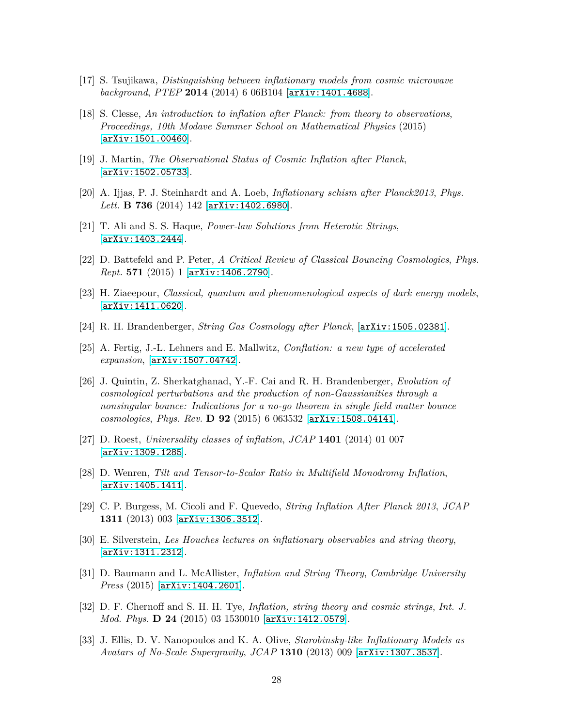- <span id="page-27-1"></span><span id="page-27-0"></span>[17] S. Tsujikawa, *Distinguishing between inflationary models from cosmic microwave background*, *PTEP* **2014** (2014) 6 06B104 [[arXiv:1401.4688](http://arxiv.org/abs/1401.4688)].
- [18] S. Clesse, *An introduction to inflation after Planck: from theory to observations*, *Proceedings, 10th Modave Summer School on Mathematical Physics* (2015) [[arXiv:1501.00460](http://arxiv.org/abs/1501.00460)].
- <span id="page-27-3"></span><span id="page-27-2"></span>[19] J. Martin, *The Observational Status of Cosmic Inflation after Planck*, [[arXiv:1502.05733](http://arxiv.org/abs/1502.05733)].
- <span id="page-27-4"></span>[20] A. Ijjas, P. J. Steinhardt and A. Loeb, *Inflationary schism after Planck2013*, *Phys. Lett.* **B 736** (2014) 142 [[arXiv:1402.6980](http://arxiv.org/abs/1402.6980)].
- <span id="page-27-5"></span>[21] T. Ali and S. S. Haque, *Power-law Solutions from Heterotic Strings*, [[arXiv:1403.2444](http://arxiv.org/abs/1403.2444)].
- <span id="page-27-6"></span>[22] D. Battefeld and P. Peter, *A Critical Review of Classical Bouncing Cosmologies*, *Phys. Rept.* **571** (2015) 1 [[arXiv:1406.2790](http://arxiv.org/abs/1406.2790)].
- <span id="page-27-7"></span>[23] H. Ziaeepour, *Classical, quantum and phenomenological aspects of dark energy models*, [[arXiv:1411.0620](http://arxiv.org/abs/1411.0620)].
- <span id="page-27-8"></span>[24] R. H. Brandenberger, *String Gas Cosmology after Planck*, [[arXiv:1505.02381](http://arxiv.org/abs/1505.02381)].
- <span id="page-27-9"></span>[25] A. Fertig, J.-L. Lehners and E. Mallwitz, *Conflation: a new type of accelerated expansion*, [[arXiv:1507.04742](http://arxiv.org/abs/1507.04742)].
- [26] J. Quintin, Z. Sherkatghanad, Y.-F. Cai and R. H. Brandenberger, *Evolution of cosmological perturbations and the production of non-Gaussianities through a nonsingular bounce: Indications for a no-go theorem in single field matter bounce cosmologies*, *Phys. Rev.* **D 92** (2015) 6 063532 [[arXiv:1508.04141](http://arxiv.org/abs/1508.04141)].
- <span id="page-27-11"></span><span id="page-27-10"></span>[27] D. Roest, *Universality classes of inflation*, *JCAP* **1401** (2014) 01 007 [[arXiv:1309.1285](http://arxiv.org/abs/1309.1285)].
- [28] D. Wenren, *Tilt and Tensor-to-Scalar Ratio in Multifield Monodromy Inflation*,  $[arXiv:1405.1411]$  $[arXiv:1405.1411]$  $[arXiv:1405.1411]$ .
- <span id="page-27-13"></span><span id="page-27-12"></span>[29] C. P. Burgess, M. Cicoli and F. Quevedo, *String Inflation After Planck 2013*, *JCAP* **1311** (2013) 003 [[arXiv:1306.3512](http://arxiv.org/abs/1306.3512)].
- [30] E. Silverstein, *Les Houches lectures on inflationary observables and string theory*, [[arXiv:1311.2312](http://arxiv.org/abs/1311.2312)].
- <span id="page-27-14"></span>[31] D. Baumann and L. McAllister, *Inflation and String Theory*, *Cambridge University Press* (2015) [[arXiv:1404.2601](http://arxiv.org/abs/1404.2601)].
- <span id="page-27-15"></span>[32] D. F. Chernoff and S. H. H. Tye, *Inflation, string theory and cosmic strings*, *Int. J. Mod. Phys.* **D 24** (2015) 03 1530010 [[arXiv:1412.0579](http://arxiv.org/abs/1412.0579)].
- <span id="page-27-16"></span>[33] J. Ellis, D. V. Nanopoulos and K. A. Olive, *Starobinsky-like Inflationary Models as Avatars of No-Scale Supergravity*, *JCAP* **1310** (2013) 009 [[arXiv:1307.3537](http://arxiv.org/abs/1307.3537)].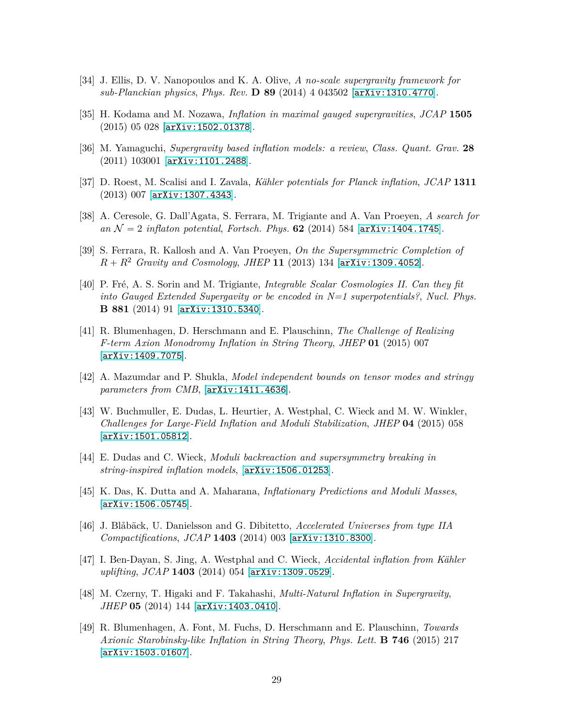- <span id="page-28-1"></span><span id="page-28-0"></span>[34] J. Ellis, D. V. Nanopoulos and K. A. Olive, *A no-scale supergravity framework for sub-Planckian physics*, *Phys. Rev.* **D 89** (2014) 4 043502 [[arXiv:1310.4770](http://arxiv.org/abs/1310.4770)].
- <span id="page-28-2"></span>[35] H. Kodama and M. Nozawa, *Inflation in maximal gauged supergravities*, *JCAP* **1505** (2015) 05 028 [[arXiv:1502.01378](http://arxiv.org/abs/1502.01378)].
- <span id="page-28-3"></span>[36] M. Yamaguchi, *Supergravity based inflation models: a review*, *Class. Quant. Grav.* **28** (2011) 103001 [[arXiv:1101.2488](http://arxiv.org/abs/1101.2488)].
- <span id="page-28-4"></span>[37] D. Roest, M. Scalisi and I. Zavala, *Kähler potentials for Planck inflation*, *JCAP* **1311** (2013) 007 [[arXiv:1307.4343](http://arxiv.org/abs/1307.4343)].
- [38] A. Ceresole, G. Dall'Agata, S. Ferrara, M. Trigiante and A. Van Proeyen, *A search for an*  $\mathcal{N} = 2$  *inflaton potential, Fortsch. Phys.* **62** (2014) 584 [[arXiv:1404.1745](http://arxiv.org/abs/1404.1745)].
- <span id="page-28-5"></span>[39] S. Ferrara, R. Kallosh and A. Van Proeyen, *On the Supersymmetric Completion of*  $R + R^2$  *Gravity and Cosmology, JHEP* 11 (2013) 134 [[arXiv:1309.4052](http://arxiv.org/abs/1309.4052)].
- <span id="page-28-6"></span>[40] P. Fré, A. S. Sorin and M. Trigiante, *Integrable Scalar Cosmologies II. Can they fit into Gauged Extended Supergavity or be encoded in N=1 superpotentials?*, *Nucl. Phys.* **B 881** (2014) 91 [[arXiv:1310.5340](http://arxiv.org/abs/1310.5340)].
- <span id="page-28-7"></span>[41] R. Blumenhagen, D. Herschmann and E. Plauschinn, *The Challenge of Realizing F-term Axion Monodromy Inflation in String Theory*, *JHEP* **01** (2015) 007 [[arXiv:1409.7075](http://arxiv.org/abs/1409.7075)].
- <span id="page-28-9"></span><span id="page-28-8"></span>[42] A. Mazumdar and P. Shukla, *Model independent bounds on tensor modes and stringy parameters from CMB*, [[arXiv:1411.4636](http://arxiv.org/abs/1411.4636)].
- [43] W. Buchmuller, E. Dudas, L. Heurtier, A. Westphal, C. Wieck and M. W. Winkler, *Challenges for Large-Field Inflation and Moduli Stabilization*, *JHEP* **04** (2015) 058 [[arXiv:1501.05812](http://arxiv.org/abs/1501.05812)].
- <span id="page-28-11"></span><span id="page-28-10"></span>[44] E. Dudas and C. Wieck, *Moduli backreaction and supersymmetry breaking in string-inspired inflation models*, [[arXiv:1506.01253](http://arxiv.org/abs/1506.01253)].
- [45] K. Das, K. Dutta and A. Maharana, *Inflationary Predictions and Moduli Masses*, [[arXiv:1506.05745](http://arxiv.org/abs/1506.05745)].
- <span id="page-28-12"></span>[46] J. Blåbäck, U. Danielsson and G. Dibitetto, *Accelerated Universes from type IIA Compactifications*, *JCAP* **1403** (2014) 003 [[arXiv:1310.8300](http://arxiv.org/abs/1310.8300)].
- <span id="page-28-13"></span>[47] I. Ben-Dayan, S. Jing, A. Westphal and C. Wieck, *Accidental inflation from Kähler uplifting*, *JCAP* **1403** (2014) 054 [[arXiv:1309.0529](http://arxiv.org/abs/1309.0529)].
- <span id="page-28-14"></span>[48] M. Czerny, T. Higaki and F. Takahashi, *Multi-Natural Inflation in Supergravity*, *JHEP* **05** (2014) 144 [[arXiv:1403.0410](http://arxiv.org/abs/1403.0410)].
- <span id="page-28-15"></span>[49] R. Blumenhagen, A. Font, M. Fuchs, D. Herschmann and E. Plauschinn, *Towards Axionic Starobinsky-like Inflation in String Theory*, *Phys. Lett.* **B 746** (2015) 217 [[arXiv:1503.01607](http://arxiv.org/abs/1503.01607)].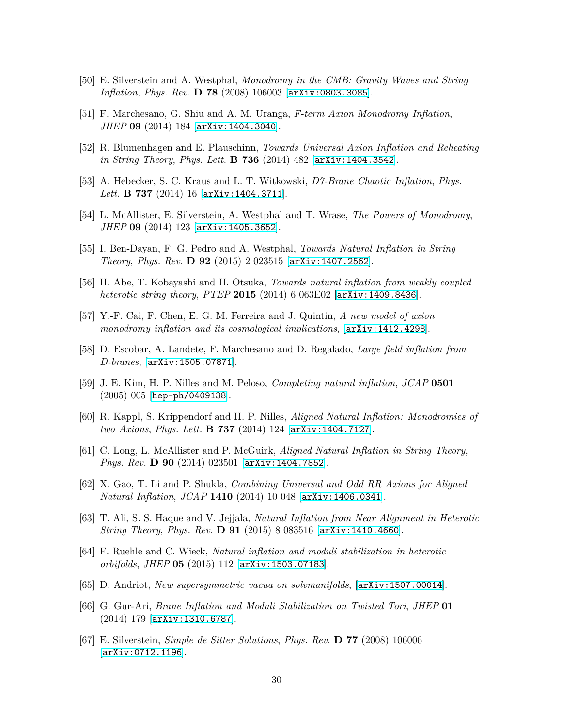- <span id="page-29-1"></span><span id="page-29-0"></span>[50] E. Silverstein and A. Westphal, *Monodromy in the CMB: Gravity Waves and String Inflation*, *Phys. Rev.* **D 78** (2008) 106003 [[arXiv:0803.3085](http://arxiv.org/abs/0803.3085)].
- <span id="page-29-2"></span>[51] F. Marchesano, G. Shiu and A. M. Uranga, *F-term Axion Monodromy Inflation*, *JHEP* **09** (2014) 184 [[arXiv:1404.3040](http://arxiv.org/abs/1404.3040)].
- <span id="page-29-3"></span>[52] R. Blumenhagen and E. Plauschinn, *Towards Universal Axion Inflation and Reheating in String Theory*, *Phys. Lett.* **B 736** (2014) 482 [[arXiv:1404.3542](http://arxiv.org/abs/1404.3542)].
- <span id="page-29-4"></span>[53] A. Hebecker, S. C. Kraus and L. T. Witkowski, *D7-Brane Chaotic Inflation*, *Phys. Lett.* **B 737** (2014) 16 [[arXiv:1404.3711](http://arxiv.org/abs/1404.3711)].
- <span id="page-29-5"></span>[54] L. McAllister, E. Silverstein, A. Westphal and T. Wrase, *The Powers of Monodromy*, *JHEP* **09** (2014) 123 [[arXiv:1405.3652](http://arxiv.org/abs/1405.3652)].
- <span id="page-29-6"></span>[55] I. Ben-Dayan, F. G. Pedro and A. Westphal, *Towards Natural Inflation in String Theory*, *Phys. Rev.* **D 92** (2015) 2 023515 [[arXiv:1407.2562](http://arxiv.org/abs/1407.2562)].
- <span id="page-29-7"></span>[56] H. Abe, T. Kobayashi and H. Otsuka, *Towards natural inflation from weakly coupled heterotic string theory*, *PTEP* **2015** (2014) 6 063E02 [[arXiv:1409.8436](http://arxiv.org/abs/1409.8436)].
- <span id="page-29-8"></span>[57] Y.-F. Cai, F. Chen, E. G. M. Ferreira and J. Quintin, *A new model of axion monodromy inflation and its cosmological implications*, [[arXiv:1412.4298](http://arxiv.org/abs/1412.4298)].
- [58] D. Escobar, A. Landete, F. Marchesano and D. Regalado, *Large field inflation from D-branes*, [[arXiv:1505.07871](http://arxiv.org/abs/1505.07871)].
- <span id="page-29-9"></span>[59] J. E. Kim, H. P. Nilles and M. Peloso, *Completing natural inflation*, *JCAP* **0501** (2005) 005 [[hep-ph/0409138](http://arxiv.org/abs/hep-ph/0409138)].
- <span id="page-29-10"></span>[60] R. Kappl, S. Krippendorf and H. P. Nilles, *Aligned Natural Inflation: Monodromies of two Axions*, *Phys. Lett.* **B 737** (2014) 124 [[arXiv:1404.7127](http://arxiv.org/abs/1404.7127)].
- <span id="page-29-12"></span><span id="page-29-11"></span>[61] C. Long, L. McAllister and P. McGuirk, *Aligned Natural Inflation in String Theory*, *Phys. Rev.* **D 90** (2014) 023501 [[arXiv:1404.7852](http://arxiv.org/abs/1404.7852)].
- <span id="page-29-13"></span>[62] X. Gao, T. Li and P. Shukla, *Combining Universal and Odd RR Axions for Aligned Natural Inflation*, *JCAP* **1410** (2014) 10 048 [[arXiv:1406.0341](http://arxiv.org/abs/1406.0341)].
- [63] T. Ali, S. S. Haque and V. Jejjala, *Natural Inflation from Near Alignment in Heterotic String Theory*, *Phys. Rev.* **D 91** (2015) 8 083516 [[arXiv:1410.4660](http://arxiv.org/abs/1410.4660)].
- <span id="page-29-14"></span>[64] F. Ruehle and C. Wieck, *Natural inflation and moduli stabilization in heterotic orbifolds*, *JHEP* **05** (2015) 112 [[arXiv:1503.07183](http://arxiv.org/abs/1503.07183)].
- <span id="page-29-16"></span><span id="page-29-15"></span>[65] D. Andriot, *New supersymmetric vacua on solvmanifolds*, [[arXiv:1507.00014](http://arxiv.org/abs/1507.00014)].
- [66] G. Gur-Ari, *Brane Inflation and Moduli Stabilization on Twisted Tori*, *JHEP* **01** (2014) 179 [[arXiv:1310.6787](http://arxiv.org/abs/1310.6787)].
- <span id="page-29-17"></span>[67] E. Silverstein, *Simple de Sitter Solutions*, *Phys. Rev.* **D 77** (2008) 106006 [[arXiv:0712.1196](http://arxiv.org/abs/0712.1196)].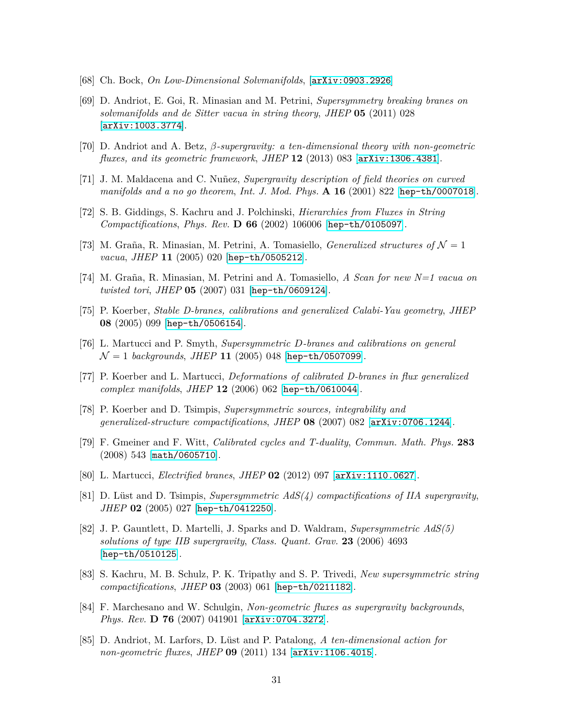- <span id="page-30-1"></span><span id="page-30-0"></span>[68] Ch. Bock, *On Low-Dimensional Solvmanifolds*, [[arXiv:0903.2926](http://arxiv.org/abs/0903.2926)]
- [69] D. Andriot, E. Goi, R. Minasian and M. Petrini, *Supersymmetry breaking branes on solvmanifolds and de Sitter vacua in string theory*, *JHEP* **05** (2011) 028 [[arXiv:1003.3774](http://arxiv.org/abs/1003.3774)].
- <span id="page-30-3"></span><span id="page-30-2"></span>[70] D. Andriot and A. Betz, *β-supergravity: a ten-dimensional theory with non-geometric fluxes, and its geometric framework*, *JHEP* **12** (2013) 083 [[arXiv:1306.4381](http://arxiv.org/abs/1306.4381)].
- <span id="page-30-4"></span>[71] J. M. Maldacena and C. Nuñez, *Supergravity description of field theories on curved manifolds and a no go theorem*, *Int. J. Mod. Phys.* **A 16** (2001) 822 [[hep-th/0007018](http://arxiv.org/abs/hep-th/0007018)].
- <span id="page-30-5"></span>[72] S. B. Giddings, S. Kachru and J. Polchinski, *Hierarchies from Fluxes in String Compactifications*, *Phys. Rev.* **D 66** (2002) 106006 [[hep-th/0105097](http://arxiv.org/abs/hep-th/0105097)].
- <span id="page-30-6"></span>[73] M. Graña, R. Minasian, M. Petrini, A. Tomasiello, *Generalized structures of*  $\mathcal{N} = 1$ *vacua*, *JHEP* **11** (2005) 020 [[hep-th/0505212](http://arxiv.org/abs/hep-th/0505212)].
- <span id="page-30-7"></span>[74] M. Graña, R. Minasian, M. Petrini and A. Tomasiello, *A Scan for new N=1 vacua on twisted tori*, *JHEP* **05** (2007) 031 [[hep-th/0609124](http://arxiv.org/abs/hep-th/0609124)].
- <span id="page-30-8"></span>[75] P. Koerber, *Stable D-branes, calibrations and generalized Calabi-Yau geometry*, *JHEP* **08** (2005) 099 [[hep-th/0506154](http://arxiv.org/abs/hep-th/0506154)].
- <span id="page-30-9"></span>[76] L. Martucci and P. Smyth, *Supersymmetric D-branes and calibrations on general*  $\mathcal{N} = 1$  *backgrounds*, *JHEP* 11 (2005) 048 [[hep-th/0507099](http://arxiv.org/abs/hep-th/0507099)].
- <span id="page-30-10"></span>[77] P. Koerber and L. Martucci, *Deformations of calibrated D-branes in flux generalized complex manifolds*, *JHEP* **12** (2006) 062 [[hep-th/0610044](http://arxiv.org/abs/hep-th/0610044)].
- <span id="page-30-11"></span>[78] P. Koerber and D. Tsimpis, *Supersymmetric sources, integrability and generalized-structure compactifications*, *JHEP* **08** (2007) 082 [[arXiv:0706.1244](http://arxiv.org/abs/0706.1244)].
- [79] F. Gmeiner and F. Witt, *Calibrated cycles and T-duality*, *Commun. Math. Phys.* **283** (2008) 543 [[math/0605710](http://arxiv.org/abs/math/0605710)].
- <span id="page-30-13"></span><span id="page-30-12"></span>[80] L. Martucci, *Electrified branes*, *JHEP* **02** (2012) 097 [[arXiv:1110.0627](http://arxiv.org/abs/1110.0627)].
- [81] D. Lüst and D. Tsimpis, *Supersymmetric AdS(4) compactifications of IIA supergravity*, *JHEP* **02** (2005) 027 [[hep-th/0412250](http://arxiv.org/abs/hep-th/0412250)].
- <span id="page-30-14"></span>[82] J. P. Gauntlett, D. Martelli, J. Sparks and D. Waldram, *Supersymmetric AdS(5) solutions of type IIB supergravity*, *Class. Quant. Grav.* **23** (2006) 4693 [[hep-th/0510125](http://arxiv.org/abs/hep-th/0510125)].
- <span id="page-30-15"></span>[83] S. Kachru, M. B. Schulz, P. K. Tripathy and S. P. Trivedi, *New supersymmetric string compactifications*, *JHEP* **03** (2003) 061 [[hep-th/0211182](http://arxiv.org/abs/hep-th/0211182)].
- <span id="page-30-16"></span>[84] F. Marchesano and W. Schulgin, *Non-geometric fluxes as supergravity backgrounds*, *Phys. Rev.* **D 76** (2007) 041901 [[arXiv:0704.3272](http://arxiv.org/abs/0704.3272)].
- <span id="page-30-17"></span>[85] D. Andriot, M. Larfors, D. Lüst and P. Patalong, *A ten-dimensional action for non-geometric fluxes*, *JHEP* **09** (2011) 134 [[arXiv:1106.4015](http://arxiv.org/abs/1106.4015)].